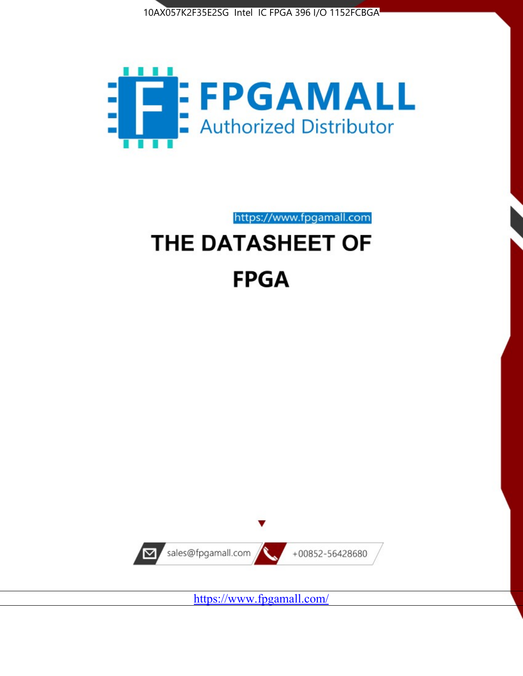



https://www.fpgamall.com

# THE DATASHEET OF **FPGA**



<https://www.fpgamall.com/>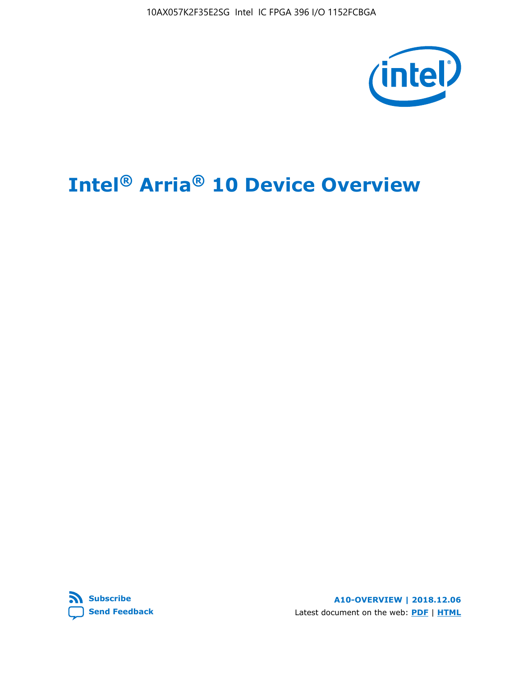10AX057K2F35E2SG Intel IC FPGA 396 I/O 1152FCBGA



# **Intel® Arria® 10 Device Overview**



**A10-OVERVIEW | 2018.12.06** Latest document on the web: **[PDF](https://www.intel.com/content/dam/www/programmable/us/en/pdfs/literature/hb/arria-10/a10_overview.pdf)** | **[HTML](https://www.intel.com/content/www/us/en/programmable/documentation/sam1403480274650.html)**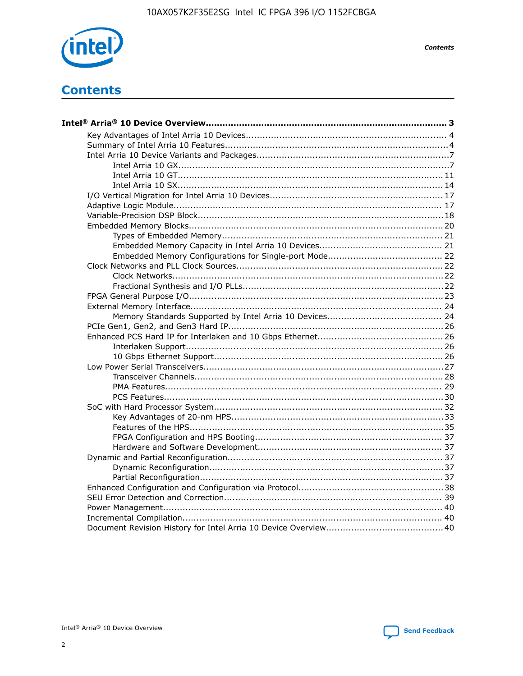

**Contents** 

# **Contents**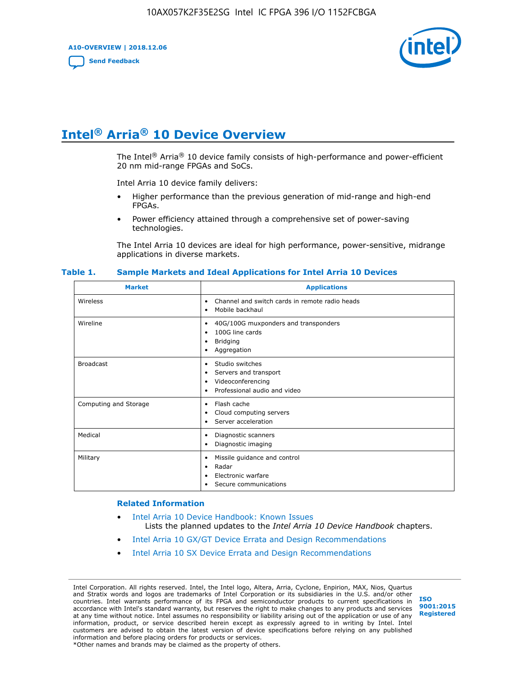**A10-OVERVIEW | 2018.12.06**

**[Send Feedback](mailto:FPGAtechdocfeedback@intel.com?subject=Feedback%20on%20Intel%20Arria%2010%20Device%20Overview%20(A10-OVERVIEW%202018.12.06)&body=We%20appreciate%20your%20feedback.%20In%20your%20comments,%20also%20specify%20the%20page%20number%20or%20paragraph.%20Thank%20you.)**



# **Intel® Arria® 10 Device Overview**

The Intel<sup>®</sup> Arria<sup>®</sup> 10 device family consists of high-performance and power-efficient 20 nm mid-range FPGAs and SoCs.

Intel Arria 10 device family delivers:

- Higher performance than the previous generation of mid-range and high-end FPGAs.
- Power efficiency attained through a comprehensive set of power-saving technologies.

The Intel Arria 10 devices are ideal for high performance, power-sensitive, midrange applications in diverse markets.

| <b>Market</b>         | <b>Applications</b>                                                                                               |
|-----------------------|-------------------------------------------------------------------------------------------------------------------|
| Wireless              | Channel and switch cards in remote radio heads<br>٠<br>Mobile backhaul<br>٠                                       |
| Wireline              | 40G/100G muxponders and transponders<br>٠<br>100G line cards<br>٠<br><b>Bridging</b><br>٠<br>Aggregation<br>٠     |
| <b>Broadcast</b>      | Studio switches<br>٠<br>Servers and transport<br>٠<br>Videoconferencing<br>٠<br>Professional audio and video<br>٠ |
| Computing and Storage | Flash cache<br>٠<br>Cloud computing servers<br>٠<br>Server acceleration<br>٠                                      |
| Medical               | Diagnostic scanners<br>٠<br>Diagnostic imaging<br>٠                                                               |
| Military              | Missile guidance and control<br>٠<br>Radar<br>٠<br>Electronic warfare<br>٠<br>Secure communications<br>٠          |

#### **Table 1. Sample Markets and Ideal Applications for Intel Arria 10 Devices**

#### **Related Information**

- [Intel Arria 10 Device Handbook: Known Issues](http://www.altera.com/support/kdb/solutions/rd07302013_646.html) Lists the planned updates to the *Intel Arria 10 Device Handbook* chapters.
- [Intel Arria 10 GX/GT Device Errata and Design Recommendations](https://www.intel.com/content/www/us/en/programmable/documentation/agz1493851706374.html#yqz1494433888646)
- [Intel Arria 10 SX Device Errata and Design Recommendations](https://www.intel.com/content/www/us/en/programmable/documentation/cru1462832385668.html#cru1462832558642)

Intel Corporation. All rights reserved. Intel, the Intel logo, Altera, Arria, Cyclone, Enpirion, MAX, Nios, Quartus and Stratix words and logos are trademarks of Intel Corporation or its subsidiaries in the U.S. and/or other countries. Intel warrants performance of its FPGA and semiconductor products to current specifications in accordance with Intel's standard warranty, but reserves the right to make changes to any products and services at any time without notice. Intel assumes no responsibility or liability arising out of the application or use of any information, product, or service described herein except as expressly agreed to in writing by Intel. Intel customers are advised to obtain the latest version of device specifications before relying on any published information and before placing orders for products or services. \*Other names and brands may be claimed as the property of others.

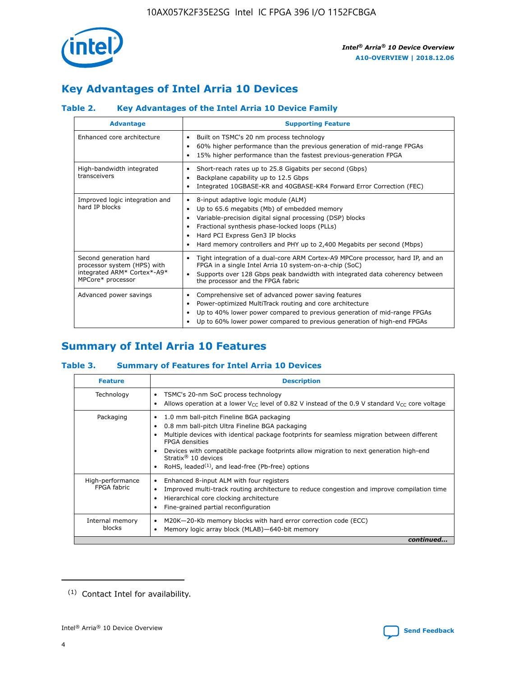

# **Key Advantages of Intel Arria 10 Devices**

## **Table 2. Key Advantages of the Intel Arria 10 Device Family**

| <b>Advantage</b>                                                                                          | <b>Supporting Feature</b>                                                                                                                                                                                                                                                                                                |  |  |  |  |  |  |
|-----------------------------------------------------------------------------------------------------------|--------------------------------------------------------------------------------------------------------------------------------------------------------------------------------------------------------------------------------------------------------------------------------------------------------------------------|--|--|--|--|--|--|
| Enhanced core architecture                                                                                | Built on TSMC's 20 nm process technology<br>٠<br>60% higher performance than the previous generation of mid-range FPGAs<br>٠<br>15% higher performance than the fastest previous-generation FPGA<br>٠                                                                                                                    |  |  |  |  |  |  |
| High-bandwidth integrated<br>transceivers                                                                 | Short-reach rates up to 25.8 Gigabits per second (Gbps)<br>٠<br>Backplane capability up to 12.5 Gbps<br>٠<br>Integrated 10GBASE-KR and 40GBASE-KR4 Forward Error Correction (FEC)<br>٠                                                                                                                                   |  |  |  |  |  |  |
| Improved logic integration and<br>hard IP blocks                                                          | 8-input adaptive logic module (ALM)<br>٠<br>Up to 65.6 megabits (Mb) of embedded memory<br>٠<br>Variable-precision digital signal processing (DSP) blocks<br>Fractional synthesis phase-locked loops (PLLs)<br>Hard PCI Express Gen3 IP blocks<br>Hard memory controllers and PHY up to 2,400 Megabits per second (Mbps) |  |  |  |  |  |  |
| Second generation hard<br>processor system (HPS) with<br>integrated ARM* Cortex*-A9*<br>MPCore* processor | Tight integration of a dual-core ARM Cortex-A9 MPCore processor, hard IP, and an<br>٠<br>FPGA in a single Intel Arria 10 system-on-a-chip (SoC)<br>Supports over 128 Gbps peak bandwidth with integrated data coherency between<br>$\bullet$<br>the processor and the FPGA fabric                                        |  |  |  |  |  |  |
| Advanced power savings                                                                                    | Comprehensive set of advanced power saving features<br>٠<br>Power-optimized MultiTrack routing and core architecture<br>٠<br>Up to 40% lower power compared to previous generation of mid-range FPGAs<br>٠<br>Up to 60% lower power compared to previous generation of high-end FPGAs                                    |  |  |  |  |  |  |

# **Summary of Intel Arria 10 Features**

## **Table 3. Summary of Features for Intel Arria 10 Devices**

| <b>Feature</b>                  | <b>Description</b>                                                                                                                                                                                                                                                                                                                                                                                       |
|---------------------------------|----------------------------------------------------------------------------------------------------------------------------------------------------------------------------------------------------------------------------------------------------------------------------------------------------------------------------------------------------------------------------------------------------------|
| Technology                      | TSMC's 20-nm SoC process technology<br>Allows operation at a lower $V_{CC}$ level of 0.82 V instead of the 0.9 V standard $V_{CC}$ core voltage                                                                                                                                                                                                                                                          |
| Packaging                       | 1.0 mm ball-pitch Fineline BGA packaging<br>0.8 mm ball-pitch Ultra Fineline BGA packaging<br>Multiple devices with identical package footprints for seamless migration between different<br><b>FPGA</b> densities<br>Devices with compatible package footprints allow migration to next generation high-end<br>Stratix $\mathcal{R}$ 10 devices<br>RoHS, leaded $(1)$ , and lead-free (Pb-free) options |
| High-performance<br>FPGA fahric | Enhanced 8-input ALM with four registers<br>Improved multi-track routing architecture to reduce congestion and improve compilation time<br>Hierarchical core clocking architecture<br>Fine-grained partial reconfiguration                                                                                                                                                                               |
| Internal memory<br>blocks       | M20K-20-Kb memory blocks with hard error correction code (ECC)<br>٠<br>Memory logic array block (MLAB)-640-bit memory                                                                                                                                                                                                                                                                                    |
|                                 | continued                                                                                                                                                                                                                                                                                                                                                                                                |



<sup>(1)</sup> Contact Intel for availability.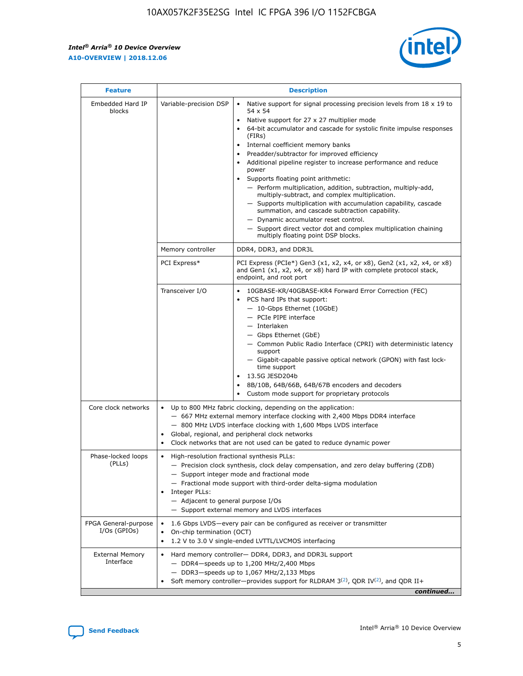$\mathbf{r}$ 



| <b>Feature</b>                         | <b>Description</b>                                                                                     |                                                                                                                                                                                                                                                                                                                                                                                                                                                                                                                                                                                                                                                                                                                                                                                                                                                                               |  |  |  |  |  |
|----------------------------------------|--------------------------------------------------------------------------------------------------------|-------------------------------------------------------------------------------------------------------------------------------------------------------------------------------------------------------------------------------------------------------------------------------------------------------------------------------------------------------------------------------------------------------------------------------------------------------------------------------------------------------------------------------------------------------------------------------------------------------------------------------------------------------------------------------------------------------------------------------------------------------------------------------------------------------------------------------------------------------------------------------|--|--|--|--|--|
| Embedded Hard IP<br>blocks             | Variable-precision DSP                                                                                 | Native support for signal processing precision levels from $18 \times 19$ to<br>$\bullet$<br>54 x 54<br>Native support for 27 x 27 multiplier mode<br>$\bullet$<br>64-bit accumulator and cascade for systolic finite impulse responses<br>$\bullet$<br>(FIRs)<br>Internal coefficient memory banks<br>$\bullet$<br>Preadder/subtractor for improved efficiency<br>Additional pipeline register to increase performance and reduce<br>power<br>Supports floating point arithmetic:<br>- Perform multiplication, addition, subtraction, multiply-add,<br>multiply-subtract, and complex multiplication.<br>- Supports multiplication with accumulation capability, cascade<br>summation, and cascade subtraction capability.<br>- Dynamic accumulator reset control.<br>- Support direct vector dot and complex multiplication chaining<br>multiply floating point DSP blocks. |  |  |  |  |  |
|                                        | Memory controller                                                                                      | DDR4, DDR3, and DDR3L                                                                                                                                                                                                                                                                                                                                                                                                                                                                                                                                                                                                                                                                                                                                                                                                                                                         |  |  |  |  |  |
|                                        | PCI Express*                                                                                           | PCI Express (PCIe*) Gen3 (x1, x2, x4, or x8), Gen2 (x1, x2, x4, or x8)<br>and Gen1 (x1, x2, x4, or x8) hard IP with complete protocol stack,<br>endpoint, and root port                                                                                                                                                                                                                                                                                                                                                                                                                                                                                                                                                                                                                                                                                                       |  |  |  |  |  |
|                                        | Transceiver I/O                                                                                        | 10GBASE-KR/40GBASE-KR4 Forward Error Correction (FEC)<br>PCS hard IPs that support:<br>٠<br>- 10-Gbps Ethernet (10GbE)<br>- PCIe PIPE interface<br>- Interlaken<br>- Gbps Ethernet (GbE)<br>- Common Public Radio Interface (CPRI) with deterministic latency<br>support<br>- Gigabit-capable passive optical network (GPON) with fast lock-<br>time support<br>13.5G JESD204b<br>$\bullet$<br>8B/10B, 64B/66B, 64B/67B encoders and decoders<br>$\bullet$<br>Custom mode support for proprietary protocols                                                                                                                                                                                                                                                                                                                                                                   |  |  |  |  |  |
| Core clock networks                    | $\bullet$                                                                                              | Up to 800 MHz fabric clocking, depending on the application:<br>- 667 MHz external memory interface clocking with 2,400 Mbps DDR4 interface<br>- 800 MHz LVDS interface clocking with 1,600 Mbps LVDS interface<br>Global, regional, and peripheral clock networks<br>Clock networks that are not used can be gated to reduce dynamic power                                                                                                                                                                                                                                                                                                                                                                                                                                                                                                                                   |  |  |  |  |  |
| Phase-locked loops<br>(PLLs)           | High-resolution fractional synthesis PLLs:<br>٠<br>Integer PLLs:<br>- Adjacent to general purpose I/Os | - Precision clock synthesis, clock delay compensation, and zero delay buffering (ZDB)<br>- Support integer mode and fractional mode<br>- Fractional mode support with third-order delta-sigma modulation<br>- Support external memory and LVDS interfaces                                                                                                                                                                                                                                                                                                                                                                                                                                                                                                                                                                                                                     |  |  |  |  |  |
| FPGA General-purpose<br>$I/Os$ (GPIOs) | On-chip termination (OCT)<br>٠                                                                         | 1.6 Gbps LVDS-every pair can be configured as receiver or transmitter<br>1.2 V to 3.0 V single-ended LVTTL/LVCMOS interfacing                                                                                                                                                                                                                                                                                                                                                                                                                                                                                                                                                                                                                                                                                                                                                 |  |  |  |  |  |
| <b>External Memory</b><br>Interface    | $\bullet$                                                                                              | Hard memory controller- DDR4, DDR3, and DDR3L support<br>$-$ DDR4 $-$ speeds up to 1,200 MHz/2,400 Mbps<br>- DDR3-speeds up to 1,067 MHz/2,133 Mbps<br>Soft memory controller—provides support for RLDRAM $3^{(2)}$ , QDR IV $^{(2)}$ , and QDR II+<br>continued                                                                                                                                                                                                                                                                                                                                                                                                                                                                                                                                                                                                              |  |  |  |  |  |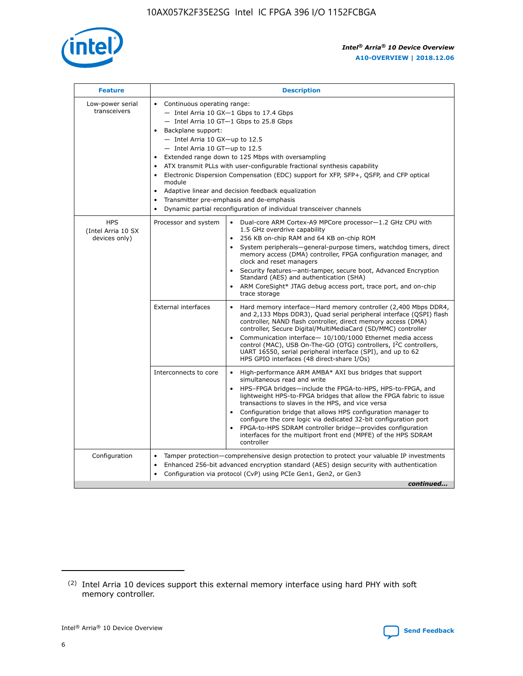

| <b>Feature</b>                                    | <b>Description</b>                                                                                                                                                                                                                                                                                                                                                                                                                                                                                                                                                                                                                             |
|---------------------------------------------------|------------------------------------------------------------------------------------------------------------------------------------------------------------------------------------------------------------------------------------------------------------------------------------------------------------------------------------------------------------------------------------------------------------------------------------------------------------------------------------------------------------------------------------------------------------------------------------------------------------------------------------------------|
| Low-power serial<br>transceivers                  | • Continuous operating range:<br>- Intel Arria 10 GX-1 Gbps to 17.4 Gbps<br>- Intel Arria 10 GT-1 Gbps to 25.8 Gbps<br>Backplane support:<br>$-$ Intel Arria 10 GX-up to 12.5<br>$-$ Intel Arria 10 GT-up to 12.5<br>Extended range down to 125 Mbps with oversampling<br>ATX transmit PLLs with user-configurable fractional synthesis capability<br>• Electronic Dispersion Compensation (EDC) support for XFP, SFP+, QSFP, and CFP optical<br>module<br>• Adaptive linear and decision feedback equalization<br>Transmitter pre-emphasis and de-emphasis<br>$\bullet$<br>Dynamic partial reconfiguration of individual transceiver channels |
| <b>HPS</b><br>(Intel Arria 10 SX<br>devices only) | Processor and system<br>Dual-core ARM Cortex-A9 MPCore processor-1.2 GHz CPU with<br>$\bullet$<br>1.5 GHz overdrive capability<br>256 KB on-chip RAM and 64 KB on-chip ROM<br>$\bullet$<br>System peripherals-general-purpose timers, watchdog timers, direct<br>memory access (DMA) controller, FPGA configuration manager, and<br>clock and reset managers<br>• Security features—anti-tamper, secure boot, Advanced Encryption<br>Standard (AES) and authentication (SHA)<br>ARM CoreSight* JTAG debug access port, trace port, and on-chip<br>trace storage                                                                                |
|                                                   | <b>External interfaces</b><br>Hard memory interface—Hard memory controller (2,400 Mbps DDR4,<br>$\bullet$<br>and 2,133 Mbps DDR3), Quad serial peripheral interface (QSPI) flash<br>controller, NAND flash controller, direct memory access (DMA)<br>controller, Secure Digital/MultiMediaCard (SD/MMC) controller<br>Communication interface-10/100/1000 Ethernet media access<br>control (MAC), USB On-The-GO (OTG) controllers, I <sup>2</sup> C controllers,<br>UART 16550, serial peripheral interface (SPI), and up to 62<br>HPS GPIO interfaces (48 direct-share I/Os)                                                                  |
|                                                   | High-performance ARM AMBA* AXI bus bridges that support<br>Interconnects to core<br>$\bullet$<br>simultaneous read and write<br>HPS-FPGA bridges—include the FPGA-to-HPS, HPS-to-FPGA, and<br>$\bullet$<br>lightweight HPS-to-FPGA bridges that allow the FPGA fabric to issue<br>transactions to slaves in the HPS, and vice versa<br>Configuration bridge that allows HPS configuration manager to<br>configure the core logic via dedicated 32-bit configuration port<br>FPGA-to-HPS SDRAM controller bridge-provides configuration<br>interfaces for the multiport front end (MPFE) of the HPS SDRAM<br>controller                         |
| Configuration                                     | Tamper protection—comprehensive design protection to protect your valuable IP investments<br>Enhanced 256-bit advanced encryption standard (AES) design security with authentication<br>$\bullet$<br>Configuration via protocol (CvP) using PCIe Gen1, Gen2, or Gen3<br>continued                                                                                                                                                                                                                                                                                                                                                              |

<sup>(2)</sup> Intel Arria 10 devices support this external memory interface using hard PHY with soft memory controller.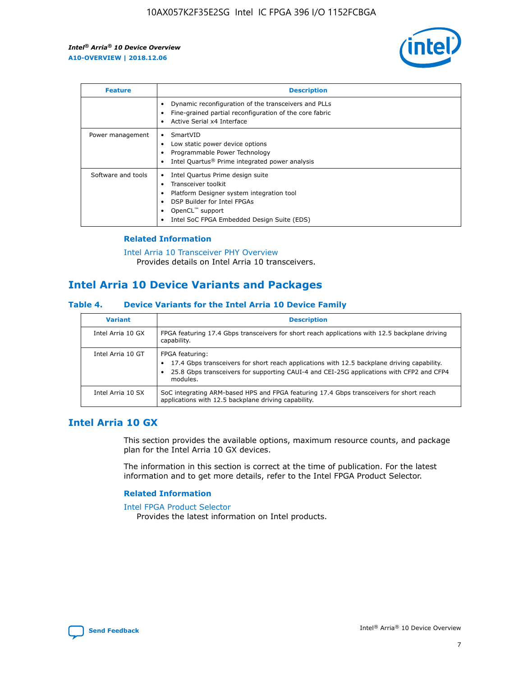

| <b>Feature</b>     | <b>Description</b>                                                                                                                                                                                               |
|--------------------|------------------------------------------------------------------------------------------------------------------------------------------------------------------------------------------------------------------|
|                    | Dynamic reconfiguration of the transceivers and PLLs<br>Fine-grained partial reconfiguration of the core fabric<br>Active Serial x4 Interface<br>$\bullet$                                                       |
| Power management   | SmartVID<br>$\bullet$<br>Low static power device options<br>Programmable Power Technology<br>Intel Quartus <sup>®</sup> Prime integrated power analysis                                                          |
| Software and tools | Intel Quartus Prime design suite<br>Transceiver toolkit<br>Platform Designer system integration tool<br>DSP Builder for Intel FPGAs<br>OpenCL <sup>™</sup> support<br>Intel SoC FPGA Embedded Design Suite (EDS) |

## **Related Information**

[Intel Arria 10 Transceiver PHY Overview](https://www.intel.com/content/www/us/en/programmable/documentation/nik1398707230472.html#nik1398706768037) Provides details on Intel Arria 10 transceivers.

## **Intel Arria 10 Device Variants and Packages**

#### **Table 4. Device Variants for the Intel Arria 10 Device Family**

| <b>Variant</b>    | <b>Description</b>                                                                                                                                                                                                     |
|-------------------|------------------------------------------------------------------------------------------------------------------------------------------------------------------------------------------------------------------------|
| Intel Arria 10 GX | FPGA featuring 17.4 Gbps transceivers for short reach applications with 12.5 backplane driving<br>capability.                                                                                                          |
| Intel Arria 10 GT | FPGA featuring:<br>17.4 Gbps transceivers for short reach applications with 12.5 backplane driving capability.<br>25.8 Gbps transceivers for supporting CAUI-4 and CEI-25G applications with CFP2 and CFP4<br>modules. |
| Intel Arria 10 SX | SoC integrating ARM-based HPS and FPGA featuring 17.4 Gbps transceivers for short reach<br>applications with 12.5 backplane driving capability.                                                                        |

## **Intel Arria 10 GX**

This section provides the available options, maximum resource counts, and package plan for the Intel Arria 10 GX devices.

The information in this section is correct at the time of publication. For the latest information and to get more details, refer to the Intel FPGA Product Selector.

#### **Related Information**

#### [Intel FPGA Product Selector](http://www.altera.com/products/selector/psg-selector.html) Provides the latest information on Intel products.

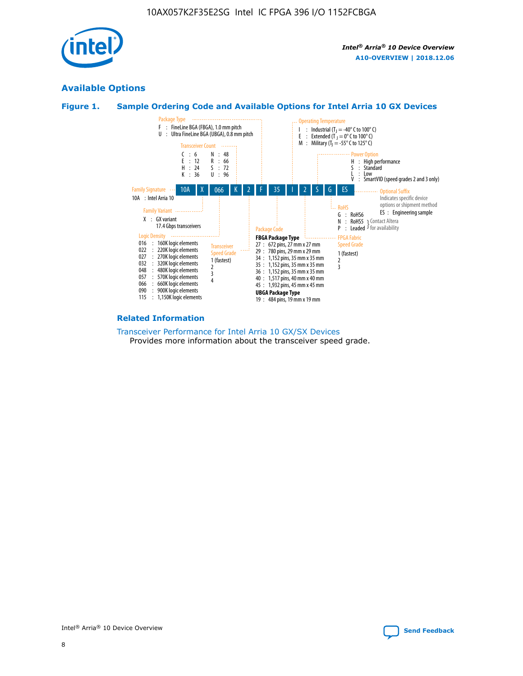

## **Available Options**





#### **Related Information**

[Transceiver Performance for Intel Arria 10 GX/SX Devices](https://www.intel.com/content/www/us/en/programmable/documentation/mcn1413182292568.html#mcn1413213965502) Provides more information about the transceiver speed grade.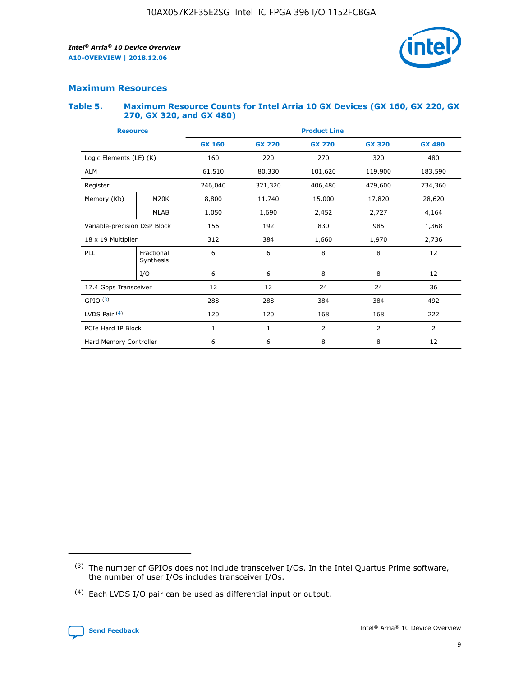

## **Maximum Resources**

#### **Table 5. Maximum Resource Counts for Intel Arria 10 GX Devices (GX 160, GX 220, GX 270, GX 320, and GX 480)**

| <b>Resource</b>         |                                                          | <b>Product Line</b> |                                |                |                |                |  |  |  |
|-------------------------|----------------------------------------------------------|---------------------|--------------------------------|----------------|----------------|----------------|--|--|--|
|                         |                                                          | <b>GX 160</b>       | <b>GX 220</b><br><b>GX 270</b> |                | <b>GX 320</b>  | <b>GX 480</b>  |  |  |  |
| Logic Elements (LE) (K) |                                                          | 160                 | 220                            | 270            | 320            | 480            |  |  |  |
| <b>ALM</b>              |                                                          | 61,510              | 80,330                         | 101,620        | 119,900        | 183,590        |  |  |  |
| Register                |                                                          | 246,040             | 321,320                        | 406,480        | 479,600        | 734,360        |  |  |  |
| Memory (Kb)             | M <sub>20</sub> K                                        | 8,800               | 11,740                         | 15,000         | 17,820         | 28,620         |  |  |  |
| <b>MLAB</b>             |                                                          | 1,050               | 1,690                          | 2,452          |                | 4,164          |  |  |  |
|                         | 192<br>830<br>985<br>Variable-precision DSP Block<br>156 |                     |                                |                | 1,368          |                |  |  |  |
| 18 x 19 Multiplier      |                                                          | 312                 | 384                            | 1,660          | 1,970          | 2,736          |  |  |  |
| PLL                     | Fractional<br>Synthesis                                  | 6                   | 6                              | 8              | 8              | 12             |  |  |  |
|                         | I/O                                                      | 6                   | 6                              | 8              | 8              | 12             |  |  |  |
| 17.4 Gbps Transceiver   |                                                          | 12                  | 12                             | 24             | 24             |                |  |  |  |
| GPIO <sup>(3)</sup>     |                                                          | 288                 | 288                            | 384<br>384     |                | 492            |  |  |  |
| LVDS Pair $(4)$         |                                                          | 120                 | 120                            | 168            | 168            | 222            |  |  |  |
| PCIe Hard IP Block      |                                                          | $\mathbf{1}$        | 1                              | $\overline{2}$ | $\overline{2}$ | $\overline{2}$ |  |  |  |
| Hard Memory Controller  |                                                          | 6                   | 6                              | 8              | 8              | 12             |  |  |  |

<sup>(4)</sup> Each LVDS I/O pair can be used as differential input or output.



<sup>(3)</sup> The number of GPIOs does not include transceiver I/Os. In the Intel Quartus Prime software, the number of user I/Os includes transceiver I/Os.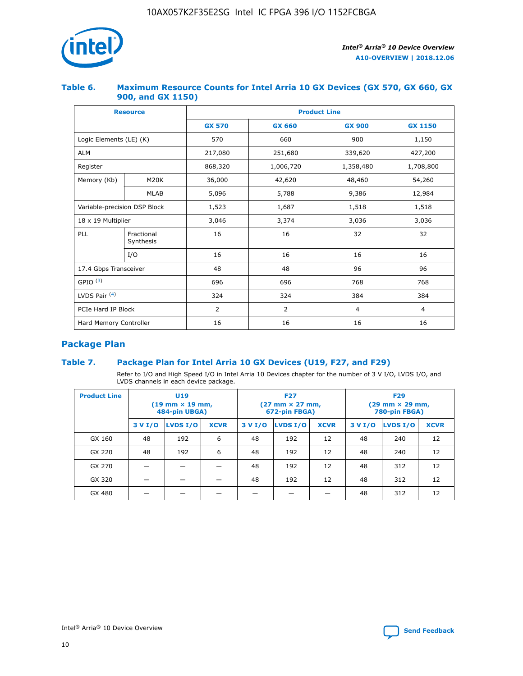

## **Table 6. Maximum Resource Counts for Intel Arria 10 GX Devices (GX 570, GX 660, GX 900, and GX 1150)**

|                              | <b>Resource</b>         | <b>Product Line</b> |                |                |                |  |  |  |
|------------------------------|-------------------------|---------------------|----------------|----------------|----------------|--|--|--|
|                              |                         | <b>GX 570</b>       | <b>GX 660</b>  | <b>GX 900</b>  | <b>GX 1150</b> |  |  |  |
| Logic Elements (LE) (K)      |                         | 570                 | 660            | 900            | 1,150          |  |  |  |
| <b>ALM</b>                   |                         | 217,080             | 251,680        | 339,620        | 427,200        |  |  |  |
| Register                     |                         | 868,320             | 1,006,720      | 1,358,480      | 1,708,800      |  |  |  |
| Memory (Kb)                  | <b>M20K</b>             | 36,000              | 42,620         | 48,460         | 54,260         |  |  |  |
|                              | <b>MLAB</b>             | 5,096               | 5,788          | 9,386          | 12,984         |  |  |  |
| Variable-precision DSP Block |                         | 1,523               | 1,687          | 1,518          | 1,518          |  |  |  |
| $18 \times 19$ Multiplier    |                         | 3,046               | 3,374          | 3,036          | 3,036          |  |  |  |
| PLL                          | Fractional<br>Synthesis | 16                  | 16             | 32             | 32             |  |  |  |
|                              | I/O                     | 16                  | 16             | 16             | 16             |  |  |  |
| 17.4 Gbps Transceiver        |                         | 48                  | 48             | 96             | 96             |  |  |  |
| GPIO <sup>(3)</sup>          |                         | 696                 | 696            | 768            | 768            |  |  |  |
| LVDS Pair $(4)$              |                         | 324                 | 324            | 384            | 384            |  |  |  |
| PCIe Hard IP Block           |                         | $\overline{2}$      | $\overline{2}$ | $\overline{4}$ | $\overline{4}$ |  |  |  |
| Hard Memory Controller       |                         | 16                  | 16             | 16             | 16             |  |  |  |

## **Package Plan**

## **Table 7. Package Plan for Intel Arria 10 GX Devices (U19, F27, and F29)**

Refer to I/O and High Speed I/O in Intel Arria 10 Devices chapter for the number of 3 V I/O, LVDS I/O, and LVDS channels in each device package.

| <b>Product Line</b> | U <sub>19</sub><br>$(19 \text{ mm} \times 19 \text{ mm})$<br>484-pin UBGA) |          |             |         | <b>F27</b><br>(27 mm × 27 mm,<br>672-pin FBGA) |             | <b>F29</b><br>(29 mm × 29 mm,<br>780-pin FBGA) |          |             |  |
|---------------------|----------------------------------------------------------------------------|----------|-------------|---------|------------------------------------------------|-------------|------------------------------------------------|----------|-------------|--|
|                     | 3 V I/O                                                                    | LVDS I/O | <b>XCVR</b> | 3 V I/O | LVDS I/O                                       | <b>XCVR</b> | 3 V I/O                                        | LVDS I/O | <b>XCVR</b> |  |
| GX 160              | 48                                                                         | 192      | 6           | 48      | 192                                            | 12          | 48                                             | 240      | 12          |  |
| GX 220              | 48                                                                         | 192      | 6           | 48      | 192                                            | 12          | 48                                             | 240      | 12          |  |
| GX 270              |                                                                            |          |             | 48      | 192                                            | 12          | 48                                             | 312      | 12          |  |
| GX 320              |                                                                            |          |             | 48      | 192                                            | 12          | 48                                             | 312      | 12          |  |
| GX 480              |                                                                            |          |             |         |                                                |             | 48                                             | 312      | 12          |  |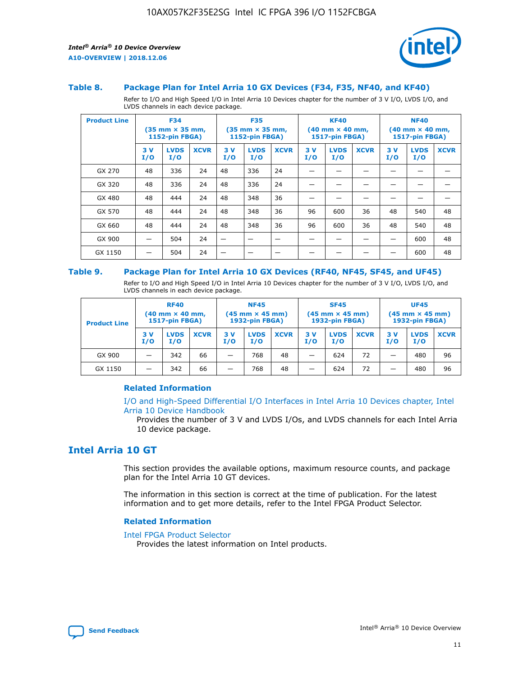

#### **Table 8. Package Plan for Intel Arria 10 GX Devices (F34, F35, NF40, and KF40)**

Refer to I/O and High Speed I/O in Intel Arria 10 Devices chapter for the number of 3 V I/O, LVDS I/O, and LVDS channels in each device package.

| <b>Product Line</b> | <b>F34</b><br>$(35 \text{ mm} \times 35 \text{ mm})$<br>1152-pin FBGA) |                    | <b>F35</b><br>$(35 \text{ mm} \times 35 \text{ mm})$<br><b>1152-pin FBGA)</b> |           | <b>KF40</b><br>$(40$ mm $\times$ 40 mm,<br>1517-pin FBGA) |             |           | <b>NF40</b><br>$(40$ mm $\times$ 40 mm,<br><b>1517-pin FBGA)</b> |             |            |                    |             |
|---------------------|------------------------------------------------------------------------|--------------------|-------------------------------------------------------------------------------|-----------|-----------------------------------------------------------|-------------|-----------|------------------------------------------------------------------|-------------|------------|--------------------|-------------|
|                     | 3V<br>I/O                                                              | <b>LVDS</b><br>I/O | <b>XCVR</b>                                                                   | 3V<br>I/O | <b>LVDS</b><br>I/O                                        | <b>XCVR</b> | 3V<br>I/O | <b>LVDS</b><br>I/O                                               | <b>XCVR</b> | 3 V<br>I/O | <b>LVDS</b><br>I/O | <b>XCVR</b> |
| GX 270              | 48                                                                     | 336                | 24                                                                            | 48        | 336                                                       | 24          |           |                                                                  |             |            |                    |             |
| GX 320              | 48                                                                     | 336                | 24                                                                            | 48        | 336                                                       | 24          |           |                                                                  |             |            |                    |             |
| GX 480              | 48                                                                     | 444                | 24                                                                            | 48        | 348                                                       | 36          |           |                                                                  |             |            |                    |             |
| GX 570              | 48                                                                     | 444                | 24                                                                            | 48        | 348                                                       | 36          | 96        | 600                                                              | 36          | 48         | 540                | 48          |
| GX 660              | 48                                                                     | 444                | 24                                                                            | 48        | 348                                                       | 36          | 96        | 600                                                              | 36          | 48         | 540                | 48          |
| GX 900              |                                                                        | 504                | 24                                                                            | -         |                                                           |             |           |                                                                  |             |            | 600                | 48          |
| GX 1150             |                                                                        | 504                | 24                                                                            |           |                                                           |             |           |                                                                  |             |            | 600                | 48          |

#### **Table 9. Package Plan for Intel Arria 10 GX Devices (RF40, NF45, SF45, and UF45)**

Refer to I/O and High Speed I/O in Intel Arria 10 Devices chapter for the number of 3 V I/O, LVDS I/O, and LVDS channels in each device package.

| <b>Product Line</b> | <b>RF40</b><br>$(40$ mm $\times$ 40 mm,<br>1517-pin FBGA) |                    | <b>NF45</b><br>$(45 \text{ mm} \times 45 \text{ mm})$<br><b>1932-pin FBGA)</b> |            |                    | <b>SF45</b><br>$(45 \text{ mm} \times 45 \text{ mm})$<br><b>1932-pin FBGA)</b> |            |                    | <b>UF45</b><br>$(45 \text{ mm} \times 45 \text{ mm})$<br><b>1932-pin FBGA)</b> |           |                    |             |
|---------------------|-----------------------------------------------------------|--------------------|--------------------------------------------------------------------------------|------------|--------------------|--------------------------------------------------------------------------------|------------|--------------------|--------------------------------------------------------------------------------|-----------|--------------------|-------------|
|                     | 3V<br>I/O                                                 | <b>LVDS</b><br>I/O | <b>XCVR</b>                                                                    | 3 V<br>I/O | <b>LVDS</b><br>I/O | <b>XCVR</b>                                                                    | 3 V<br>I/O | <b>LVDS</b><br>I/O | <b>XCVR</b>                                                                    | 3V<br>I/O | <b>LVDS</b><br>I/O | <b>XCVR</b> |
| GX 900              |                                                           | 342                | 66                                                                             | _          | 768                | 48                                                                             |            | 624                | 72                                                                             |           | 480                | 96          |
| GX 1150             |                                                           | 342                | 66                                                                             | _          | 768                | 48                                                                             |            | 624                | 72                                                                             |           | 480                | 96          |

#### **Related Information**

[I/O and High-Speed Differential I/O Interfaces in Intel Arria 10 Devices chapter, Intel](https://www.intel.com/content/www/us/en/programmable/documentation/sam1403482614086.html#sam1403482030321) [Arria 10 Device Handbook](https://www.intel.com/content/www/us/en/programmable/documentation/sam1403482614086.html#sam1403482030321)

Provides the number of 3 V and LVDS I/Os, and LVDS channels for each Intel Arria 10 device package.

## **Intel Arria 10 GT**

This section provides the available options, maximum resource counts, and package plan for the Intel Arria 10 GT devices.

The information in this section is correct at the time of publication. For the latest information and to get more details, refer to the Intel FPGA Product Selector.

#### **Related Information**

#### [Intel FPGA Product Selector](http://www.altera.com/products/selector/psg-selector.html)

Provides the latest information on Intel products.

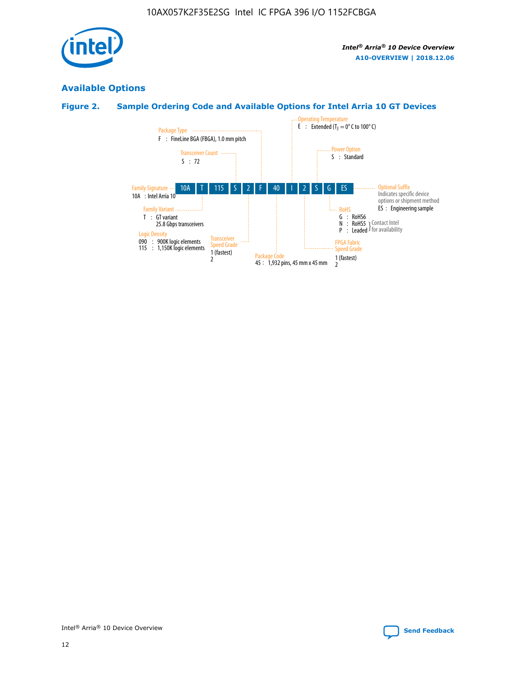

## **Available Options**

## **Figure 2. Sample Ordering Code and Available Options for Intel Arria 10 GT Devices**

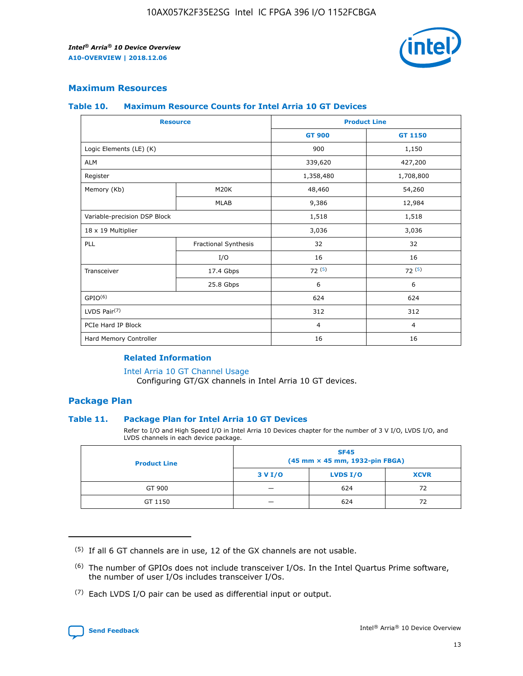

## **Maximum Resources**

#### **Table 10. Maximum Resource Counts for Intel Arria 10 GT Devices**

| <b>Resource</b>              |                      |                | <b>Product Line</b> |  |
|------------------------------|----------------------|----------------|---------------------|--|
|                              |                      | <b>GT 900</b>  | GT 1150             |  |
| Logic Elements (LE) (K)      |                      | 900            | 1,150               |  |
| <b>ALM</b>                   |                      | 339,620        | 427,200             |  |
| Register                     |                      | 1,358,480      | 1,708,800           |  |
| Memory (Kb)                  | M <sub>20</sub> K    | 48,460         | 54,260              |  |
|                              | <b>MLAB</b>          | 9,386          | 12,984              |  |
| Variable-precision DSP Block |                      | 1,518          | 1,518               |  |
| 18 x 19 Multiplier           |                      | 3,036          | 3,036               |  |
| PLL                          | Fractional Synthesis | 32             | 32                  |  |
|                              | I/O                  | 16             | 16                  |  |
| Transceiver                  | 17.4 Gbps            | 72(5)          | 72(5)               |  |
|                              | 25.8 Gbps            | 6              | 6                   |  |
| GPIO <sup>(6)</sup>          |                      | 624            | 624                 |  |
| LVDS Pair $(7)$              |                      | 312            | 312                 |  |
| PCIe Hard IP Block           |                      | $\overline{4}$ | $\overline{4}$      |  |
| Hard Memory Controller       |                      | 16             | 16                  |  |

#### **Related Information**

#### [Intel Arria 10 GT Channel Usage](https://www.intel.com/content/www/us/en/programmable/documentation/nik1398707230472.html#nik1398707008178)

Configuring GT/GX channels in Intel Arria 10 GT devices.

## **Package Plan**

#### **Table 11. Package Plan for Intel Arria 10 GT Devices**

Refer to I/O and High Speed I/O in Intel Arria 10 Devices chapter for the number of 3 V I/O, LVDS I/O, and LVDS channels in each device package.

| <b>Product Line</b> | <b>SF45</b><br>(45 mm × 45 mm, 1932-pin FBGA) |                 |             |  |  |  |
|---------------------|-----------------------------------------------|-----------------|-------------|--|--|--|
|                     | 3 V I/O                                       | <b>LVDS I/O</b> | <b>XCVR</b> |  |  |  |
| GT 900              |                                               | 624             | 72          |  |  |  |
| GT 1150             |                                               | 624             |             |  |  |  |

<sup>(7)</sup> Each LVDS I/O pair can be used as differential input or output.



 $(5)$  If all 6 GT channels are in use, 12 of the GX channels are not usable.

<sup>(6)</sup> The number of GPIOs does not include transceiver I/Os. In the Intel Quartus Prime software, the number of user I/Os includes transceiver I/Os.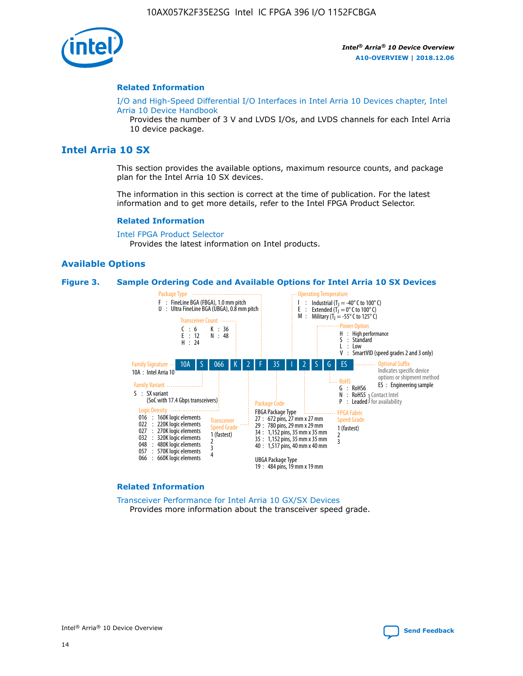

#### **Related Information**

[I/O and High-Speed Differential I/O Interfaces in Intel Arria 10 Devices chapter, Intel](https://www.intel.com/content/www/us/en/programmable/documentation/sam1403482614086.html#sam1403482030321) [Arria 10 Device Handbook](https://www.intel.com/content/www/us/en/programmable/documentation/sam1403482614086.html#sam1403482030321)

Provides the number of 3 V and LVDS I/Os, and LVDS channels for each Intel Arria 10 device package.

## **Intel Arria 10 SX**

This section provides the available options, maximum resource counts, and package plan for the Intel Arria 10 SX devices.

The information in this section is correct at the time of publication. For the latest information and to get more details, refer to the Intel FPGA Product Selector.

#### **Related Information**

[Intel FPGA Product Selector](http://www.altera.com/products/selector/psg-selector.html) Provides the latest information on Intel products.

#### **Available Options**

#### **Figure 3. Sample Ordering Code and Available Options for Intel Arria 10 SX Devices**



#### **Related Information**

[Transceiver Performance for Intel Arria 10 GX/SX Devices](https://www.intel.com/content/www/us/en/programmable/documentation/mcn1413182292568.html#mcn1413213965502) Provides more information about the transceiver speed grade.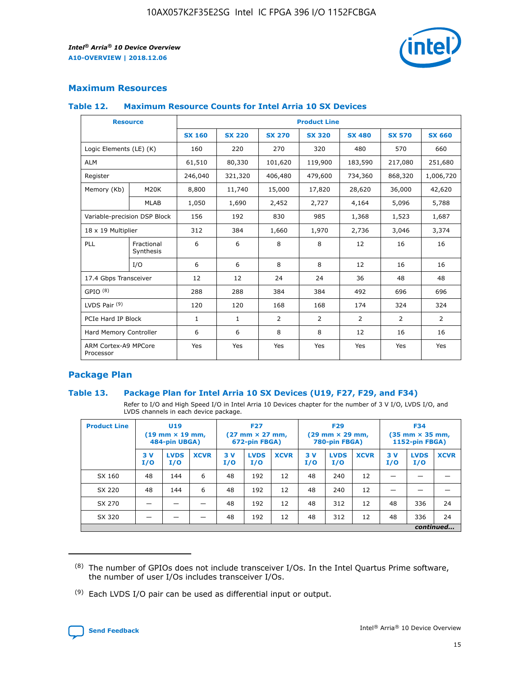

## **Maximum Resources**

#### **Table 12. Maximum Resource Counts for Intel Arria 10 SX Devices**

| <b>Resource</b>                   |                         | <b>Product Line</b> |               |               |                |               |               |               |  |  |  |
|-----------------------------------|-------------------------|---------------------|---------------|---------------|----------------|---------------|---------------|---------------|--|--|--|
|                                   |                         | <b>SX 160</b>       | <b>SX 220</b> | <b>SX 270</b> | <b>SX 320</b>  | <b>SX 480</b> | <b>SX 570</b> | <b>SX 660</b> |  |  |  |
| Logic Elements (LE) (K)           |                         | 160                 | 220           | 270           | 320            | 480           | 570           | 660           |  |  |  |
| <b>ALM</b>                        |                         | 61,510              | 80,330        | 101,620       | 119,900        | 183,590       | 217,080       | 251,680       |  |  |  |
| Register                          |                         | 246,040             | 321,320       | 406,480       | 479,600        | 734,360       | 868,320       | 1,006,720     |  |  |  |
| Memory (Kb)                       | M20K                    | 8,800               | 11,740        | 15,000        | 17,820         | 28,620        | 36,000        | 42,620        |  |  |  |
|                                   | <b>MLAB</b>             | 1,050               | 1,690         | 2,452         | 2,727          | 4,164         | 5,096         | 5,788         |  |  |  |
| Variable-precision DSP Block      |                         | 156                 | 192           | 830           | 985            | 1,368         | 1,523         | 1,687         |  |  |  |
| 18 x 19 Multiplier                |                         | 312                 | 384           | 1,660         | 1,970          | 2,736         | 3,046         | 3,374         |  |  |  |
| PLL                               | Fractional<br>Synthesis | 6                   | 6             | 8             | 8              | 12            | 16            | 16            |  |  |  |
|                                   | I/O                     | 6                   | 6             | 8             | 8              | 12            | 16            | 16            |  |  |  |
| 17.4 Gbps Transceiver             |                         | 12                  | 12            | 24            | 24             | 36            | 48            | 48            |  |  |  |
| GPIO <sup>(8)</sup>               |                         | 288                 | 288           | 384           | 384            | 492           | 696           | 696           |  |  |  |
| LVDS Pair $(9)$                   |                         | 120                 | 120           | 168           | 168            | 174           | 324           | 324           |  |  |  |
|                                   | PCIe Hard IP Block      |                     | $\mathbf{1}$  | 2             | $\overline{2}$ | 2             | 2             | 2             |  |  |  |
| Hard Memory Controller            |                         | 6                   | 6             | 8             | 8              | 12            | 16            | 16            |  |  |  |
| ARM Cortex-A9 MPCore<br>Processor |                         | Yes                 | Yes           | Yes           | Yes            | Yes           | Yes           | Yes           |  |  |  |

## **Package Plan**

#### **Table 13. Package Plan for Intel Arria 10 SX Devices (U19, F27, F29, and F34)**

Refer to I/O and High Speed I/O in Intel Arria 10 Devices chapter for the number of 3 V I/O, LVDS I/O, and LVDS channels in each device package.

| <b>Product Line</b> | U19<br>$(19 \text{ mm} \times 19 \text{ mm})$<br>484-pin UBGA) |                    | <b>F27</b><br>$(27 \text{ mm} \times 27 \text{ mm})$<br>672-pin FBGA) |           | <b>F29</b><br>$(29 \text{ mm} \times 29 \text{ mm})$<br>780-pin FBGA) |             |            | <b>F34</b><br>$(35 \text{ mm} \times 35 \text{ mm})$<br><b>1152-pin FBGA)</b> |             |           |                    |             |
|---------------------|----------------------------------------------------------------|--------------------|-----------------------------------------------------------------------|-----------|-----------------------------------------------------------------------|-------------|------------|-------------------------------------------------------------------------------|-------------|-----------|--------------------|-------------|
|                     | 3V<br>I/O                                                      | <b>LVDS</b><br>I/O | <b>XCVR</b>                                                           | 3V<br>I/O | <b>LVDS</b><br>I/O                                                    | <b>XCVR</b> | 3 V<br>I/O | <b>LVDS</b><br>I/O                                                            | <b>XCVR</b> | 3V<br>I/O | <b>LVDS</b><br>I/O | <b>XCVR</b> |
| SX 160              | 48                                                             | 144                | 6                                                                     | 48        | 192                                                                   | 12          | 48         | 240                                                                           | 12          | –         |                    |             |
| SX 220              | 48                                                             | 144                | 6                                                                     | 48        | 192                                                                   | 12          | 48         | 240                                                                           | 12          |           |                    |             |
| SX 270              |                                                                |                    |                                                                       | 48        | 192                                                                   | 12          | 48         | 312                                                                           | 12          | 48        | 336                | 24          |
| SX 320              |                                                                |                    |                                                                       | 48        | 192                                                                   | 12          | 48         | 312                                                                           | 12          | 48        | 336                | 24          |
|                     | continued                                                      |                    |                                                                       |           |                                                                       |             |            |                                                                               |             |           |                    |             |

 $(8)$  The number of GPIOs does not include transceiver I/Os. In the Intel Quartus Prime software, the number of user I/Os includes transceiver I/Os.

 $(9)$  Each LVDS I/O pair can be used as differential input or output.

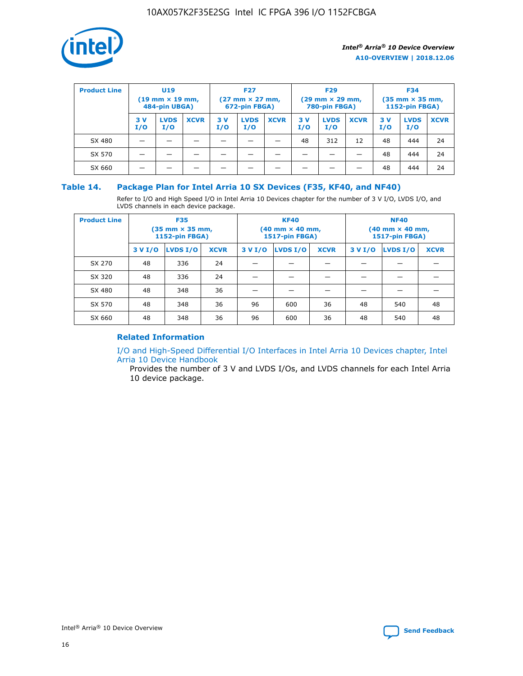

| <b>Product Line</b> | U <sub>19</sub><br>$(19 \text{ mm} \times 19 \text{ mm})$<br>484-pin UBGA) |                    | <b>F27</b><br>$(27 \text{ mm} \times 27 \text{ mm})$<br>672-pin FBGA) |           | <b>F29</b><br>$(29 \text{ mm} \times 29 \text{ mm})$<br>780-pin FBGA) |             |           | <b>F34</b><br>$(35$ mm $\times$ 35 mm,<br><b>1152-pin FBGA)</b> |             |           |                    |             |
|---------------------|----------------------------------------------------------------------------|--------------------|-----------------------------------------------------------------------|-----------|-----------------------------------------------------------------------|-------------|-----------|-----------------------------------------------------------------|-------------|-----------|--------------------|-------------|
|                     | 3V<br>I/O                                                                  | <b>LVDS</b><br>I/O | <b>XCVR</b>                                                           | 3V<br>I/O | <b>LVDS</b><br>I/O                                                    | <b>XCVR</b> | 3V<br>I/O | <b>LVDS</b><br>I/O                                              | <b>XCVR</b> | 3V<br>I/O | <b>LVDS</b><br>I/O | <b>XCVR</b> |
| SX 480              |                                                                            |                    |                                                                       |           |                                                                       |             | 48        | 312                                                             | 12          | 48        | 444                | 24          |
| SX 570              |                                                                            |                    |                                                                       |           |                                                                       |             |           |                                                                 |             | 48        | 444                | 24          |
| SX 660              |                                                                            |                    |                                                                       |           |                                                                       |             |           |                                                                 |             | 48        | 444                | 24          |

## **Table 14. Package Plan for Intel Arria 10 SX Devices (F35, KF40, and NF40)**

Refer to I/O and High Speed I/O in Intel Arria 10 Devices chapter for the number of 3 V I/O, LVDS I/O, and LVDS channels in each device package.

| <b>Product Line</b> | <b>F35</b><br>$(35 \text{ mm} \times 35 \text{ mm})$<br><b>1152-pin FBGA)</b> |          |             |                                           | <b>KF40</b><br>(40 mm × 40 mm,<br>1517-pin FBGA) |    | <b>NF40</b><br>$(40 \text{ mm} \times 40 \text{ mm})$<br>1517-pin FBGA) |          |             |  |
|---------------------|-------------------------------------------------------------------------------|----------|-------------|-------------------------------------------|--------------------------------------------------|----|-------------------------------------------------------------------------|----------|-------------|--|
|                     | 3 V I/O                                                                       | LVDS I/O | <b>XCVR</b> | <b>LVDS I/O</b><br><b>XCVR</b><br>3 V I/O |                                                  |    | 3 V I/O                                                                 | LVDS I/O | <b>XCVR</b> |  |
| SX 270              | 48                                                                            | 336      | 24          |                                           |                                                  |    |                                                                         |          |             |  |
| SX 320              | 48                                                                            | 336      | 24          |                                           |                                                  |    |                                                                         |          |             |  |
| SX 480              | 48                                                                            | 348      | 36          |                                           |                                                  |    |                                                                         |          |             |  |
| SX 570              | 48                                                                            | 348      | 36          | 96                                        | 600                                              | 36 | 48                                                                      | 540      | 48          |  |
| SX 660              | 48                                                                            | 348      | 36          | 96                                        | 600                                              | 36 | 48                                                                      | 540      | 48          |  |

## **Related Information**

[I/O and High-Speed Differential I/O Interfaces in Intel Arria 10 Devices chapter, Intel](https://www.intel.com/content/www/us/en/programmable/documentation/sam1403482614086.html#sam1403482030321) [Arria 10 Device Handbook](https://www.intel.com/content/www/us/en/programmable/documentation/sam1403482614086.html#sam1403482030321)

Provides the number of 3 V and LVDS I/Os, and LVDS channels for each Intel Arria 10 device package.

Intel<sup>®</sup> Arria<sup>®</sup> 10 Device Overview **[Send Feedback](mailto:FPGAtechdocfeedback@intel.com?subject=Feedback%20on%20Intel%20Arria%2010%20Device%20Overview%20(A10-OVERVIEW%202018.12.06)&body=We%20appreciate%20your%20feedback.%20In%20your%20comments,%20also%20specify%20the%20page%20number%20or%20paragraph.%20Thank%20you.)** Send Feedback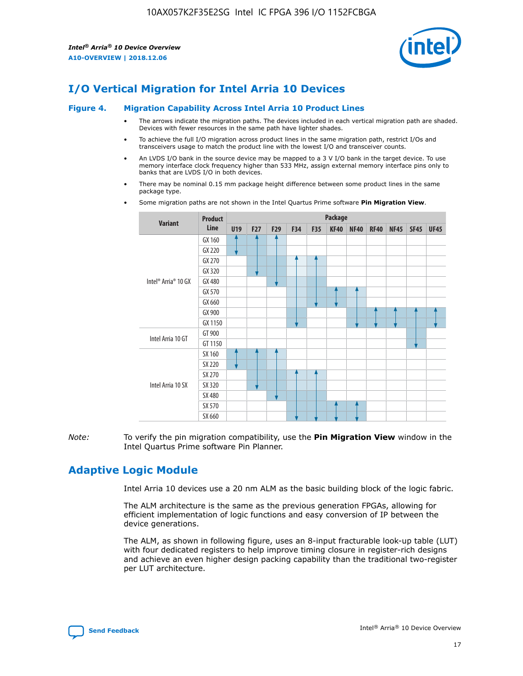

# **I/O Vertical Migration for Intel Arria 10 Devices**

#### **Figure 4. Migration Capability Across Intel Arria 10 Product Lines**

- The arrows indicate the migration paths. The devices included in each vertical migration path are shaded. Devices with fewer resources in the same path have lighter shades.
- To achieve the full I/O migration across product lines in the same migration path, restrict I/Os and transceivers usage to match the product line with the lowest I/O and transceiver counts.
- An LVDS I/O bank in the source device may be mapped to a 3 V I/O bank in the target device. To use memory interface clock frequency higher than 533 MHz, assign external memory interface pins only to banks that are LVDS I/O in both devices.
- There may be nominal 0.15 mm package height difference between some product lines in the same package type.
	- **Variant Product Line Package U19 F27 F29 F34 F35 KF40 NF40 RF40 NF45 SF45 UF45** Intel® Arria® 10 GX GX 160 GX 220 GX 270 GX 320 GX 480 GX 570 GX 660 GX 900 GX 1150 Intel Arria 10 GT GT 900 GT 1150 Intel Arria 10 SX SX 160 SX 220 SX 270 SX 320 SX 480 SX 570 SX 660
- Some migration paths are not shown in the Intel Quartus Prime software **Pin Migration View**.

*Note:* To verify the pin migration compatibility, use the **Pin Migration View** window in the Intel Quartus Prime software Pin Planner.

## **Adaptive Logic Module**

Intel Arria 10 devices use a 20 nm ALM as the basic building block of the logic fabric.

The ALM architecture is the same as the previous generation FPGAs, allowing for efficient implementation of logic functions and easy conversion of IP between the device generations.

The ALM, as shown in following figure, uses an 8-input fracturable look-up table (LUT) with four dedicated registers to help improve timing closure in register-rich designs and achieve an even higher design packing capability than the traditional two-register per LUT architecture.

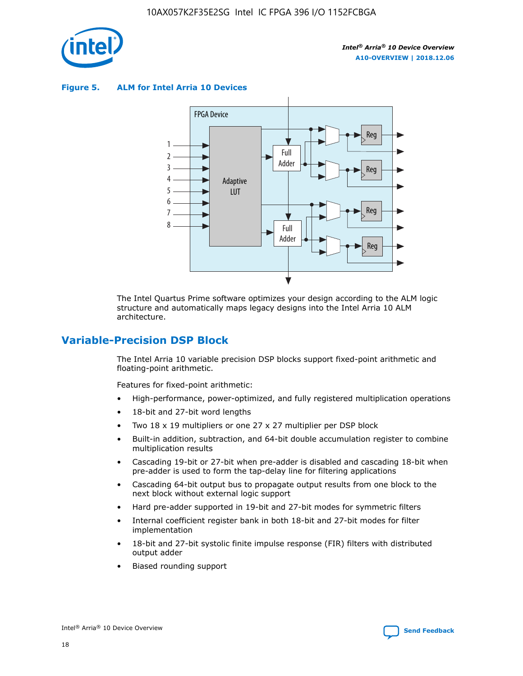

**Figure 5. ALM for Intel Arria 10 Devices**



The Intel Quartus Prime software optimizes your design according to the ALM logic structure and automatically maps legacy designs into the Intel Arria 10 ALM architecture.

## **Variable-Precision DSP Block**

The Intel Arria 10 variable precision DSP blocks support fixed-point arithmetic and floating-point arithmetic.

Features for fixed-point arithmetic:

- High-performance, power-optimized, and fully registered multiplication operations
- 18-bit and 27-bit word lengths
- Two 18 x 19 multipliers or one 27 x 27 multiplier per DSP block
- Built-in addition, subtraction, and 64-bit double accumulation register to combine multiplication results
- Cascading 19-bit or 27-bit when pre-adder is disabled and cascading 18-bit when pre-adder is used to form the tap-delay line for filtering applications
- Cascading 64-bit output bus to propagate output results from one block to the next block without external logic support
- Hard pre-adder supported in 19-bit and 27-bit modes for symmetric filters
- Internal coefficient register bank in both 18-bit and 27-bit modes for filter implementation
- 18-bit and 27-bit systolic finite impulse response (FIR) filters with distributed output adder
- Biased rounding support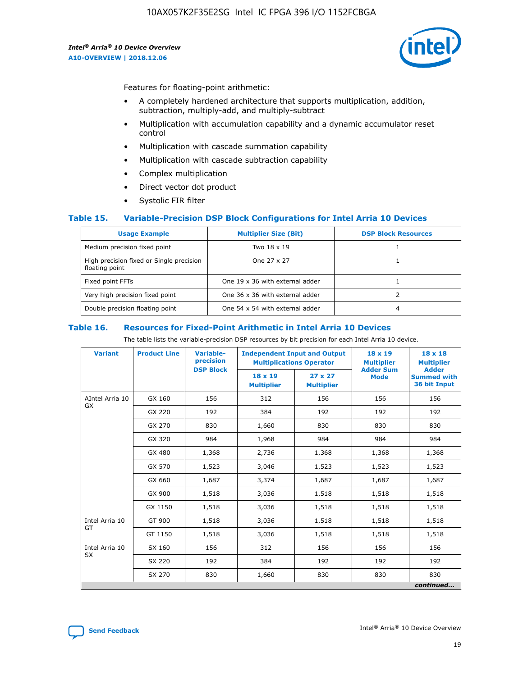

Features for floating-point arithmetic:

- A completely hardened architecture that supports multiplication, addition, subtraction, multiply-add, and multiply-subtract
- Multiplication with accumulation capability and a dynamic accumulator reset control
- Multiplication with cascade summation capability
- Multiplication with cascade subtraction capability
- Complex multiplication
- Direct vector dot product
- Systolic FIR filter

#### **Table 15. Variable-Precision DSP Block Configurations for Intel Arria 10 Devices**

| <b>Usage Example</b>                                       | <b>Multiplier Size (Bit)</b>    | <b>DSP Block Resources</b> |
|------------------------------------------------------------|---------------------------------|----------------------------|
| Medium precision fixed point                               | Two 18 x 19                     |                            |
| High precision fixed or Single precision<br>floating point | One 27 x 27                     |                            |
| Fixed point FFTs                                           | One 19 x 36 with external adder |                            |
| Very high precision fixed point                            | One 36 x 36 with external adder |                            |
| Double precision floating point                            | One 54 x 54 with external adder | 4                          |

#### **Table 16. Resources for Fixed-Point Arithmetic in Intel Arria 10 Devices**

The table lists the variable-precision DSP resources by bit precision for each Intel Arria 10 device.

| <b>Variant</b>  | <b>Product Line</b> | Variable-<br>precision<br><b>DSP Block</b> | <b>Independent Input and Output</b><br><b>Multiplications Operator</b> |                                     | 18 x 19<br><b>Multiplier</b><br><b>Adder Sum</b> | $18 \times 18$<br><b>Multiplier</b><br><b>Adder</b> |
|-----------------|---------------------|--------------------------------------------|------------------------------------------------------------------------|-------------------------------------|--------------------------------------------------|-----------------------------------------------------|
|                 |                     |                                            | 18 x 19<br><b>Multiplier</b>                                           | $27 \times 27$<br><b>Multiplier</b> | <b>Mode</b>                                      | <b>Summed with</b><br>36 bit Input                  |
| AIntel Arria 10 | GX 160              | 156                                        | 312                                                                    | 156                                 | 156                                              | 156                                                 |
| GX              | GX 220              | 192                                        | 384                                                                    | 192                                 | 192                                              | 192                                                 |
|                 | GX 270              | 830                                        | 1,660                                                                  | 830                                 | 830                                              | 830                                                 |
|                 | GX 320              | 984                                        | 1,968                                                                  | 984                                 | 984                                              | 984                                                 |
|                 | GX 480              | 1,368                                      | 2,736                                                                  | 1,368                               | 1,368                                            | 1,368                                               |
|                 | GX 570              | 1,523                                      | 3,046                                                                  | 1,523                               | 1,523                                            | 1,523                                               |
|                 | GX 660              | 1,687                                      | 3,374                                                                  | 1,687                               | 1,687                                            | 1,687                                               |
|                 | GX 900              | 1,518                                      | 3,036                                                                  | 1,518                               | 1,518                                            | 1,518                                               |
|                 | GX 1150             | 1,518                                      | 3,036                                                                  | 1,518                               | 1,518                                            | 1,518                                               |
| Intel Arria 10  | GT 900              | 1,518                                      | 3,036                                                                  | 1,518                               | 1,518                                            | 1,518                                               |
| GT              | GT 1150             | 1,518                                      | 3,036                                                                  | 1,518                               | 1,518                                            | 1,518                                               |
| Intel Arria 10  | SX 160              | 156                                        | 312                                                                    | 156                                 | 156                                              | 156                                                 |
| <b>SX</b>       | SX 220              | 192                                        | 384                                                                    | 192                                 | 192                                              | 192                                                 |
|                 | SX 270              | 830                                        | 1,660                                                                  | 830                                 | 830                                              | 830                                                 |
|                 |                     |                                            |                                                                        |                                     |                                                  | continued                                           |

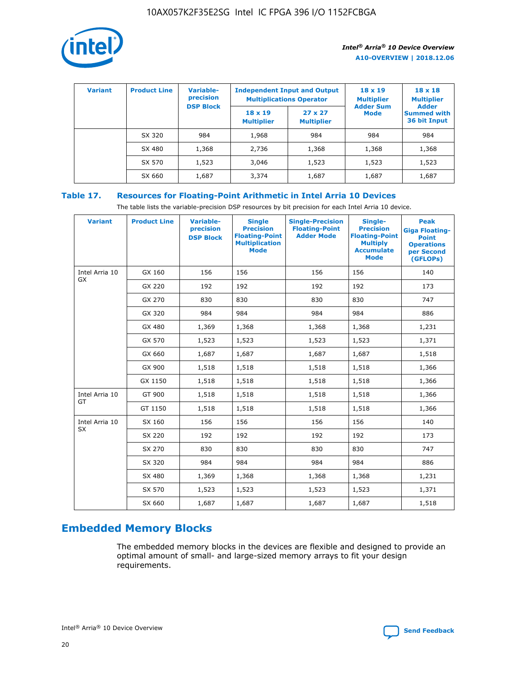

| <b>Variant</b> | <b>Product Line</b> | <b>Variable-</b><br>precision<br><b>DSP Block</b> | <b>Independent Input and Output</b><br><b>Multiplications Operator</b> |                                     | $18 \times 19$<br><b>Multiplier</b><br><b>Adder Sum</b> | $18 \times 18$<br><b>Multiplier</b><br><b>Adder</b> |  |
|----------------|---------------------|---------------------------------------------------|------------------------------------------------------------------------|-------------------------------------|---------------------------------------------------------|-----------------------------------------------------|--|
|                |                     |                                                   | $18 \times 19$<br><b>Multiplier</b>                                    | $27 \times 27$<br><b>Multiplier</b> | <b>Mode</b>                                             | <b>Summed with</b><br>36 bit Input                  |  |
|                | SX 320              | 984                                               | 1,968                                                                  | 984                                 | 984                                                     | 984                                                 |  |
|                | SX 480              | 1,368                                             | 2,736                                                                  | 1,368                               | 1,368                                                   | 1,368                                               |  |
|                | SX 570              | 1,523                                             | 3,046                                                                  | 1,523                               | 1,523                                                   | 1,523                                               |  |
|                | SX 660              | 1,687                                             | 3,374                                                                  | 1,687                               | 1,687                                                   | 1,687                                               |  |

## **Table 17. Resources for Floating-Point Arithmetic in Intel Arria 10 Devices**

The table lists the variable-precision DSP resources by bit precision for each Intel Arria 10 device.

| <b>Variant</b> | <b>Product Line</b> | <b>Variable-</b><br>precision<br><b>DSP Block</b> | <b>Single</b><br><b>Precision</b><br><b>Floating-Point</b><br><b>Multiplication</b><br><b>Mode</b> | <b>Single-Precision</b><br><b>Floating-Point</b><br><b>Adder Mode</b> | Single-<br><b>Precision</b><br><b>Floating-Point</b><br><b>Multiply</b><br><b>Accumulate</b><br><b>Mode</b> | <b>Peak</b><br><b>Giga Floating-</b><br><b>Point</b><br><b>Operations</b><br>per Second<br>(GFLOPs) |
|----------------|---------------------|---------------------------------------------------|----------------------------------------------------------------------------------------------------|-----------------------------------------------------------------------|-------------------------------------------------------------------------------------------------------------|-----------------------------------------------------------------------------------------------------|
| Intel Arria 10 | GX 160              | 156                                               | 156                                                                                                | 156                                                                   | 156                                                                                                         | 140                                                                                                 |
| <b>GX</b>      | GX 220              | 192                                               | 192                                                                                                | 192                                                                   | 192                                                                                                         | 173                                                                                                 |
|                | GX 270              | 830                                               | 830                                                                                                | 830                                                                   | 830                                                                                                         | 747                                                                                                 |
|                | GX 320              | 984                                               | 984                                                                                                | 984                                                                   | 984                                                                                                         | 886                                                                                                 |
|                | GX 480              | 1,369                                             | 1,368                                                                                              | 1,368                                                                 | 1,368                                                                                                       | 1,231                                                                                               |
|                | GX 570              | 1,523                                             | 1,523                                                                                              | 1,523                                                                 | 1,523                                                                                                       | 1,371                                                                                               |
|                | GX 660              | 1,687                                             | 1,687                                                                                              | 1,687                                                                 | 1,687                                                                                                       | 1,518                                                                                               |
|                | GX 900              | 1,518                                             | 1,518                                                                                              | 1,518                                                                 | 1,518                                                                                                       | 1,366                                                                                               |
|                | GX 1150             | 1,518                                             | 1,518                                                                                              | 1,518                                                                 | 1,518                                                                                                       | 1,366                                                                                               |
| Intel Arria 10 | GT 900              | 1,518                                             | 1,518                                                                                              | 1,518                                                                 | 1,518                                                                                                       | 1,366                                                                                               |
| GT             | GT 1150             | 1,518                                             | 1,518                                                                                              | 1,518                                                                 | 1,518                                                                                                       | 1,366                                                                                               |
| Intel Arria 10 | SX 160              | 156                                               | 156                                                                                                | 156                                                                   | 156                                                                                                         | 140                                                                                                 |
| SX             | SX 220              | 192                                               | 192                                                                                                | 192                                                                   | 192                                                                                                         | 173                                                                                                 |
|                | SX 270              | 830                                               | 830                                                                                                | 830                                                                   | 830                                                                                                         | 747                                                                                                 |
|                | SX 320              | 984                                               | 984                                                                                                | 984                                                                   | 984                                                                                                         | 886                                                                                                 |
|                | SX 480              | 1,369                                             | 1,368                                                                                              | 1,368                                                                 | 1,368                                                                                                       | 1,231                                                                                               |
|                | SX 570              | 1,523                                             | 1,523                                                                                              | 1,523                                                                 | 1,523                                                                                                       | 1,371                                                                                               |
|                | SX 660              | 1,687                                             | 1,687                                                                                              | 1,687                                                                 | 1,687                                                                                                       | 1,518                                                                                               |

# **Embedded Memory Blocks**

The embedded memory blocks in the devices are flexible and designed to provide an optimal amount of small- and large-sized memory arrays to fit your design requirements.

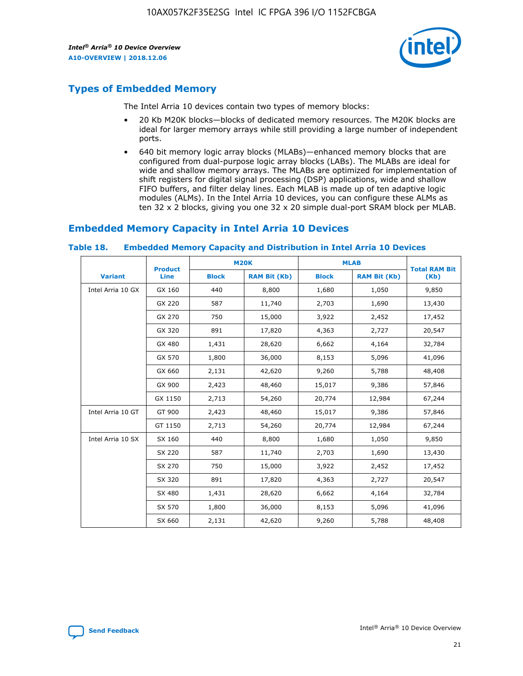

## **Types of Embedded Memory**

The Intel Arria 10 devices contain two types of memory blocks:

- 20 Kb M20K blocks—blocks of dedicated memory resources. The M20K blocks are ideal for larger memory arrays while still providing a large number of independent ports.
- 640 bit memory logic array blocks (MLABs)—enhanced memory blocks that are configured from dual-purpose logic array blocks (LABs). The MLABs are ideal for wide and shallow memory arrays. The MLABs are optimized for implementation of shift registers for digital signal processing (DSP) applications, wide and shallow FIFO buffers, and filter delay lines. Each MLAB is made up of ten adaptive logic modules (ALMs). In the Intel Arria 10 devices, you can configure these ALMs as ten 32 x 2 blocks, giving you one 32 x 20 simple dual-port SRAM block per MLAB.

## **Embedded Memory Capacity in Intel Arria 10 Devices**

|                   | <b>Product</b> | <b>M20K</b>  |                     | <b>MLAB</b>  |                     | <b>Total RAM Bit</b> |
|-------------------|----------------|--------------|---------------------|--------------|---------------------|----------------------|
| <b>Variant</b>    | <b>Line</b>    | <b>Block</b> | <b>RAM Bit (Kb)</b> | <b>Block</b> | <b>RAM Bit (Kb)</b> | (Kb)                 |
| Intel Arria 10 GX | GX 160         | 440          | 8,800               | 1,680        | 1,050               | 9,850                |
|                   | GX 220         | 587          | 11,740              | 2,703        | 1,690               | 13,430               |
|                   | GX 270         | 750          | 15,000              | 3,922        | 2,452               | 17,452               |
|                   | GX 320         | 891          | 17,820              | 4,363        | 2,727               | 20,547               |
|                   | GX 480         | 1,431        | 28,620              | 6,662        | 4,164               | 32,784               |
|                   | GX 570         | 1,800        | 36,000              | 8,153        | 5,096               | 41,096               |
|                   | GX 660         | 2,131        | 42,620              | 9,260        | 5,788               | 48,408               |
|                   | GX 900         | 2,423        | 48,460              | 15,017       | 9,386               | 57,846               |
|                   | GX 1150        | 2,713        | 54,260              | 20,774       | 12,984              | 67,244               |
| Intel Arria 10 GT | GT 900         | 2,423        | 48,460              | 15,017       | 9,386               | 57,846               |
|                   | GT 1150        | 2,713        | 54,260              | 20,774       | 12,984              | 67,244               |
| Intel Arria 10 SX | SX 160         | 440          | 8,800               | 1,680        | 1,050               | 9,850                |
|                   | SX 220         | 587          | 11,740              | 2,703        | 1,690               | 13,430               |
|                   | SX 270         | 750          | 15,000              | 3,922        | 2,452               | 17,452               |
|                   | SX 320         | 891          | 17,820              | 4,363        | 2,727               | 20,547               |
|                   | SX 480         | 1,431        | 28,620              | 6,662        | 4,164               | 32,784               |
|                   | SX 570         | 1,800        | 36,000              | 8,153        | 5,096               | 41,096               |
|                   | SX 660         | 2,131        | 42,620              | 9,260        | 5,788               | 48,408               |

#### **Table 18. Embedded Memory Capacity and Distribution in Intel Arria 10 Devices**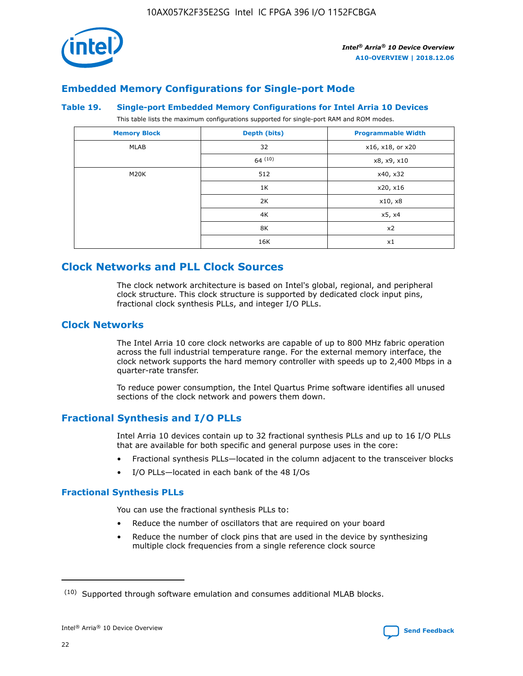

## **Embedded Memory Configurations for Single-port Mode**

#### **Table 19. Single-port Embedded Memory Configurations for Intel Arria 10 Devices**

This table lists the maximum configurations supported for single-port RAM and ROM modes.

| <b>Memory Block</b> | Depth (bits) | <b>Programmable Width</b> |
|---------------------|--------------|---------------------------|
| MLAB                | 32           | x16, x18, or x20          |
|                     | 64(10)       | x8, x9, x10               |
| M20K                | 512          | x40, x32                  |
|                     | 1K           | x20, x16                  |
|                     | 2K           | x10, x8                   |
|                     | 4K           | x5, x4                    |
|                     | 8K           | x2                        |
|                     | 16K          | x1                        |

## **Clock Networks and PLL Clock Sources**

The clock network architecture is based on Intel's global, regional, and peripheral clock structure. This clock structure is supported by dedicated clock input pins, fractional clock synthesis PLLs, and integer I/O PLLs.

## **Clock Networks**

The Intel Arria 10 core clock networks are capable of up to 800 MHz fabric operation across the full industrial temperature range. For the external memory interface, the clock network supports the hard memory controller with speeds up to 2,400 Mbps in a quarter-rate transfer.

To reduce power consumption, the Intel Quartus Prime software identifies all unused sections of the clock network and powers them down.

## **Fractional Synthesis and I/O PLLs**

Intel Arria 10 devices contain up to 32 fractional synthesis PLLs and up to 16 I/O PLLs that are available for both specific and general purpose uses in the core:

- Fractional synthesis PLLs—located in the column adjacent to the transceiver blocks
- I/O PLLs—located in each bank of the 48 I/Os

## **Fractional Synthesis PLLs**

You can use the fractional synthesis PLLs to:

- Reduce the number of oscillators that are required on your board
- Reduce the number of clock pins that are used in the device by synthesizing multiple clock frequencies from a single reference clock source

<sup>(10)</sup> Supported through software emulation and consumes additional MLAB blocks.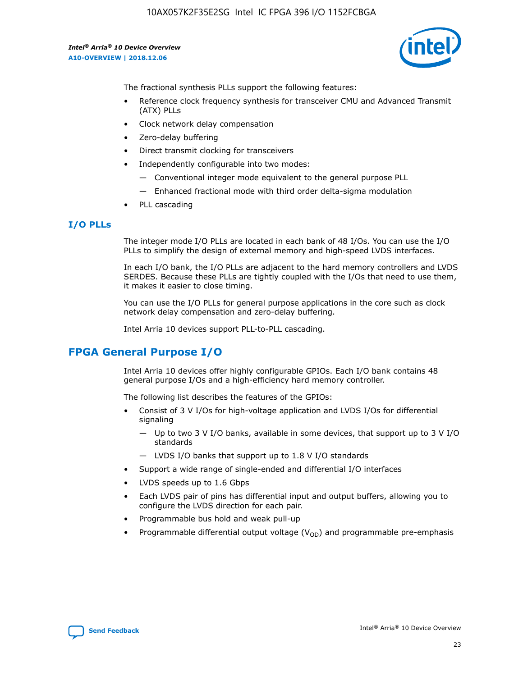10AX057K2F35E2SG Intel IC FPGA 396 I/O 1152FCBGA

*Intel® Arria® 10 Device Overview* **A10-OVERVIEW | 2018.12.06**



The fractional synthesis PLLs support the following features:

- Reference clock frequency synthesis for transceiver CMU and Advanced Transmit (ATX) PLLs
- Clock network delay compensation
- Zero-delay buffering
- Direct transmit clocking for transceivers
- Independently configurable into two modes:
	- Conventional integer mode equivalent to the general purpose PLL
	- Enhanced fractional mode with third order delta-sigma modulation
- PLL cascading

#### **I/O PLLs**

The integer mode I/O PLLs are located in each bank of 48 I/Os. You can use the I/O PLLs to simplify the design of external memory and high-speed LVDS interfaces.

In each I/O bank, the I/O PLLs are adjacent to the hard memory controllers and LVDS SERDES. Because these PLLs are tightly coupled with the I/Os that need to use them, it makes it easier to close timing.

You can use the I/O PLLs for general purpose applications in the core such as clock network delay compensation and zero-delay buffering.

Intel Arria 10 devices support PLL-to-PLL cascading.

## **FPGA General Purpose I/O**

Intel Arria 10 devices offer highly configurable GPIOs. Each I/O bank contains 48 general purpose I/Os and a high-efficiency hard memory controller.

The following list describes the features of the GPIOs:

- Consist of 3 V I/Os for high-voltage application and LVDS I/Os for differential signaling
	- Up to two 3 V I/O banks, available in some devices, that support up to 3 V I/O standards
	- LVDS I/O banks that support up to 1.8 V I/O standards
- Support a wide range of single-ended and differential I/O interfaces
- LVDS speeds up to 1.6 Gbps
- Each LVDS pair of pins has differential input and output buffers, allowing you to configure the LVDS direction for each pair.
- Programmable bus hold and weak pull-up
- Programmable differential output voltage  $(V_{OD})$  and programmable pre-emphasis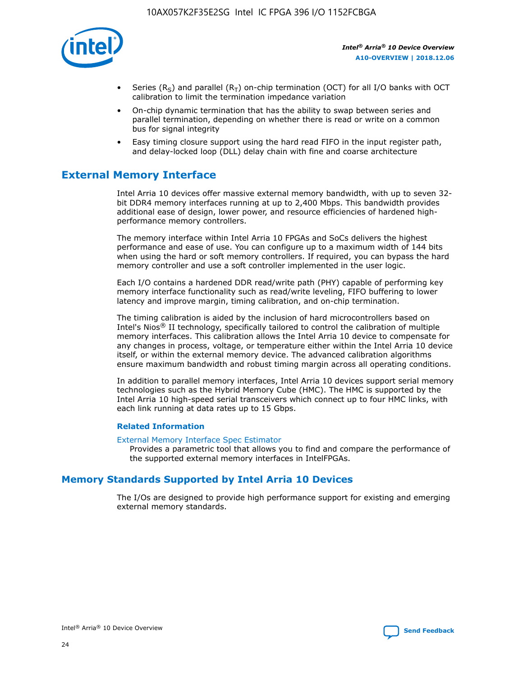

- Series (R<sub>S</sub>) and parallel (R<sub>T</sub>) on-chip termination (OCT) for all I/O banks with OCT calibration to limit the termination impedance variation
- On-chip dynamic termination that has the ability to swap between series and parallel termination, depending on whether there is read or write on a common bus for signal integrity
- Easy timing closure support using the hard read FIFO in the input register path, and delay-locked loop (DLL) delay chain with fine and coarse architecture

## **External Memory Interface**

Intel Arria 10 devices offer massive external memory bandwidth, with up to seven 32 bit DDR4 memory interfaces running at up to 2,400 Mbps. This bandwidth provides additional ease of design, lower power, and resource efficiencies of hardened highperformance memory controllers.

The memory interface within Intel Arria 10 FPGAs and SoCs delivers the highest performance and ease of use. You can configure up to a maximum width of 144 bits when using the hard or soft memory controllers. If required, you can bypass the hard memory controller and use a soft controller implemented in the user logic.

Each I/O contains a hardened DDR read/write path (PHY) capable of performing key memory interface functionality such as read/write leveling, FIFO buffering to lower latency and improve margin, timing calibration, and on-chip termination.

The timing calibration is aided by the inclusion of hard microcontrollers based on Intel's Nios® II technology, specifically tailored to control the calibration of multiple memory interfaces. This calibration allows the Intel Arria 10 device to compensate for any changes in process, voltage, or temperature either within the Intel Arria 10 device itself, or within the external memory device. The advanced calibration algorithms ensure maximum bandwidth and robust timing margin across all operating conditions.

In addition to parallel memory interfaces, Intel Arria 10 devices support serial memory technologies such as the Hybrid Memory Cube (HMC). The HMC is supported by the Intel Arria 10 high-speed serial transceivers which connect up to four HMC links, with each link running at data rates up to 15 Gbps.

#### **Related Information**

#### [External Memory Interface Spec Estimator](http://www.altera.com/technology/memory/estimator/mem-emif-index.html)

Provides a parametric tool that allows you to find and compare the performance of the supported external memory interfaces in IntelFPGAs.

## **Memory Standards Supported by Intel Arria 10 Devices**

The I/Os are designed to provide high performance support for existing and emerging external memory standards.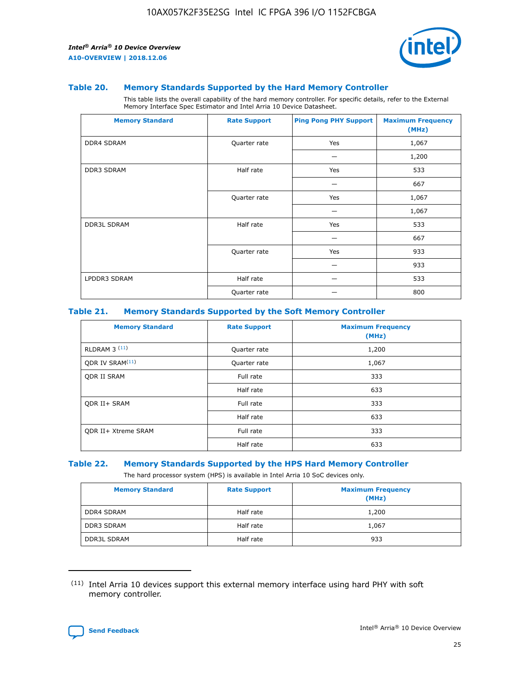

#### **Table 20. Memory Standards Supported by the Hard Memory Controller**

This table lists the overall capability of the hard memory controller. For specific details, refer to the External Memory Interface Spec Estimator and Intel Arria 10 Device Datasheet.

| <b>Memory Standard</b> | <b>Rate Support</b> | <b>Ping Pong PHY Support</b> | <b>Maximum Frequency</b><br>(MHz) |
|------------------------|---------------------|------------------------------|-----------------------------------|
| <b>DDR4 SDRAM</b>      | Quarter rate        | Yes                          | 1,067                             |
|                        |                     |                              | 1,200                             |
| DDR3 SDRAM             | Half rate           | Yes                          | 533                               |
|                        |                     |                              | 667                               |
|                        | Quarter rate        | Yes                          | 1,067                             |
|                        |                     |                              | 1,067                             |
| <b>DDR3L SDRAM</b>     | Half rate           | Yes                          | 533                               |
|                        |                     |                              | 667                               |
|                        | Quarter rate        | Yes                          | 933                               |
|                        |                     |                              | 933                               |
| LPDDR3 SDRAM           | Half rate           |                              | 533                               |
|                        | Quarter rate        |                              | 800                               |

#### **Table 21. Memory Standards Supported by the Soft Memory Controller**

| <b>Memory Standard</b>      | <b>Rate Support</b> | <b>Maximum Frequency</b><br>(MHz) |
|-----------------------------|---------------------|-----------------------------------|
| <b>RLDRAM 3 (11)</b>        | Quarter rate        | 1,200                             |
| ODR IV SRAM <sup>(11)</sup> | Quarter rate        | 1,067                             |
| <b>ODR II SRAM</b>          | Full rate           | 333                               |
|                             | Half rate           | 633                               |
| <b>ODR II+ SRAM</b>         | Full rate           | 333                               |
|                             | Half rate           | 633                               |
| <b>ODR II+ Xtreme SRAM</b>  | Full rate           | 333                               |
|                             | Half rate           | 633                               |

#### **Table 22. Memory Standards Supported by the HPS Hard Memory Controller**

The hard processor system (HPS) is available in Intel Arria 10 SoC devices only.

| <b>Memory Standard</b> | <b>Rate Support</b> | <b>Maximum Frequency</b><br>(MHz) |
|------------------------|---------------------|-----------------------------------|
| <b>DDR4 SDRAM</b>      | Half rate           | 1,200                             |
| <b>DDR3 SDRAM</b>      | Half rate           | 1,067                             |
| <b>DDR3L SDRAM</b>     | Half rate           | 933                               |

<sup>(11)</sup> Intel Arria 10 devices support this external memory interface using hard PHY with soft memory controller.

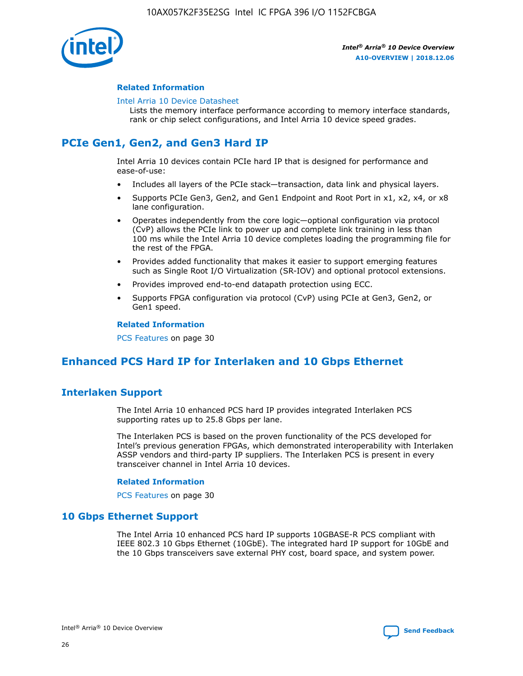

#### **Related Information**

#### [Intel Arria 10 Device Datasheet](https://www.intel.com/content/www/us/en/programmable/documentation/mcn1413182292568.html#mcn1413182153340)

Lists the memory interface performance according to memory interface standards, rank or chip select configurations, and Intel Arria 10 device speed grades.

# **PCIe Gen1, Gen2, and Gen3 Hard IP**

Intel Arria 10 devices contain PCIe hard IP that is designed for performance and ease-of-use:

- Includes all layers of the PCIe stack—transaction, data link and physical layers.
- Supports PCIe Gen3, Gen2, and Gen1 Endpoint and Root Port in x1, x2, x4, or x8 lane configuration.
- Operates independently from the core logic—optional configuration via protocol (CvP) allows the PCIe link to power up and complete link training in less than 100 ms while the Intel Arria 10 device completes loading the programming file for the rest of the FPGA.
- Provides added functionality that makes it easier to support emerging features such as Single Root I/O Virtualization (SR-IOV) and optional protocol extensions.
- Provides improved end-to-end datapath protection using ECC.
- Supports FPGA configuration via protocol (CvP) using PCIe at Gen3, Gen2, or Gen1 speed.

#### **Related Information**

PCS Features on page 30

## **Enhanced PCS Hard IP for Interlaken and 10 Gbps Ethernet**

## **Interlaken Support**

The Intel Arria 10 enhanced PCS hard IP provides integrated Interlaken PCS supporting rates up to 25.8 Gbps per lane.

The Interlaken PCS is based on the proven functionality of the PCS developed for Intel's previous generation FPGAs, which demonstrated interoperability with Interlaken ASSP vendors and third-party IP suppliers. The Interlaken PCS is present in every transceiver channel in Intel Arria 10 devices.

#### **Related Information**

PCS Features on page 30

## **10 Gbps Ethernet Support**

The Intel Arria 10 enhanced PCS hard IP supports 10GBASE-R PCS compliant with IEEE 802.3 10 Gbps Ethernet (10GbE). The integrated hard IP support for 10GbE and the 10 Gbps transceivers save external PHY cost, board space, and system power.

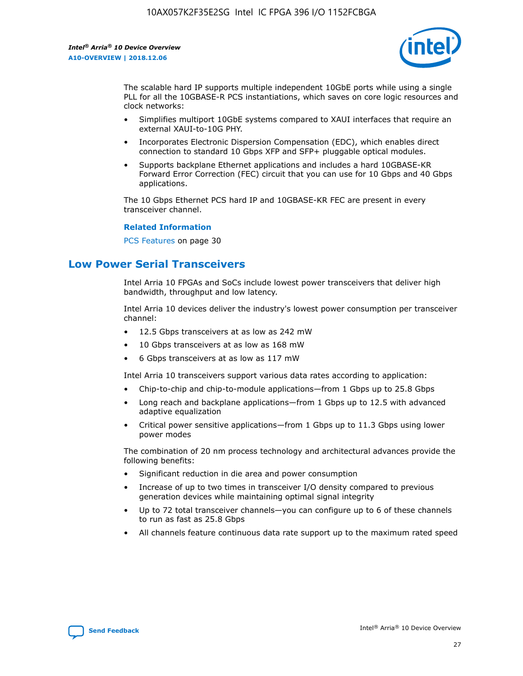

The scalable hard IP supports multiple independent 10GbE ports while using a single PLL for all the 10GBASE-R PCS instantiations, which saves on core logic resources and clock networks:

- Simplifies multiport 10GbE systems compared to XAUI interfaces that require an external XAUI-to-10G PHY.
- Incorporates Electronic Dispersion Compensation (EDC), which enables direct connection to standard 10 Gbps XFP and SFP+ pluggable optical modules.
- Supports backplane Ethernet applications and includes a hard 10GBASE-KR Forward Error Correction (FEC) circuit that you can use for 10 Gbps and 40 Gbps applications.

The 10 Gbps Ethernet PCS hard IP and 10GBASE-KR FEC are present in every transceiver channel.

#### **Related Information**

PCS Features on page 30

## **Low Power Serial Transceivers**

Intel Arria 10 FPGAs and SoCs include lowest power transceivers that deliver high bandwidth, throughput and low latency.

Intel Arria 10 devices deliver the industry's lowest power consumption per transceiver channel:

- 12.5 Gbps transceivers at as low as 242 mW
- 10 Gbps transceivers at as low as 168 mW
- 6 Gbps transceivers at as low as 117 mW

Intel Arria 10 transceivers support various data rates according to application:

- Chip-to-chip and chip-to-module applications—from 1 Gbps up to 25.8 Gbps
- Long reach and backplane applications—from 1 Gbps up to 12.5 with advanced adaptive equalization
- Critical power sensitive applications—from 1 Gbps up to 11.3 Gbps using lower power modes

The combination of 20 nm process technology and architectural advances provide the following benefits:

- Significant reduction in die area and power consumption
- Increase of up to two times in transceiver I/O density compared to previous generation devices while maintaining optimal signal integrity
- Up to 72 total transceiver channels—you can configure up to 6 of these channels to run as fast as 25.8 Gbps
- All channels feature continuous data rate support up to the maximum rated speed

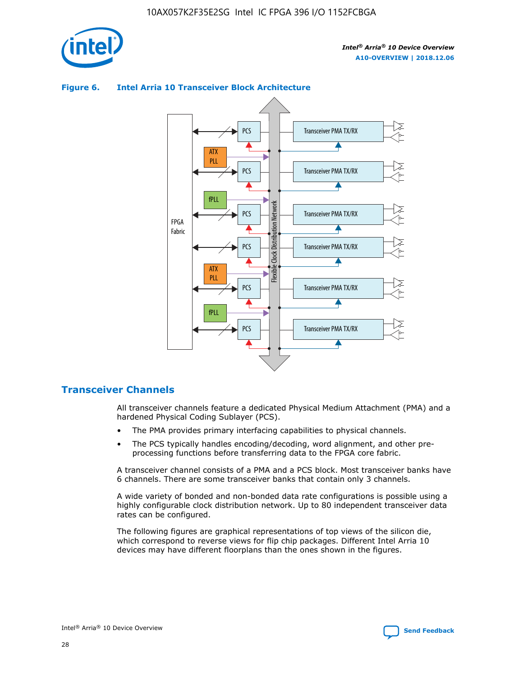



## **Figure 6. Intel Arria 10 Transceiver Block Architecture**

## **Transceiver Channels**

All transceiver channels feature a dedicated Physical Medium Attachment (PMA) and a hardened Physical Coding Sublayer (PCS).

- The PMA provides primary interfacing capabilities to physical channels.
- The PCS typically handles encoding/decoding, word alignment, and other preprocessing functions before transferring data to the FPGA core fabric.

A transceiver channel consists of a PMA and a PCS block. Most transceiver banks have 6 channels. There are some transceiver banks that contain only 3 channels.

A wide variety of bonded and non-bonded data rate configurations is possible using a highly configurable clock distribution network. Up to 80 independent transceiver data rates can be configured.

The following figures are graphical representations of top views of the silicon die, which correspond to reverse views for flip chip packages. Different Intel Arria 10 devices may have different floorplans than the ones shown in the figures.

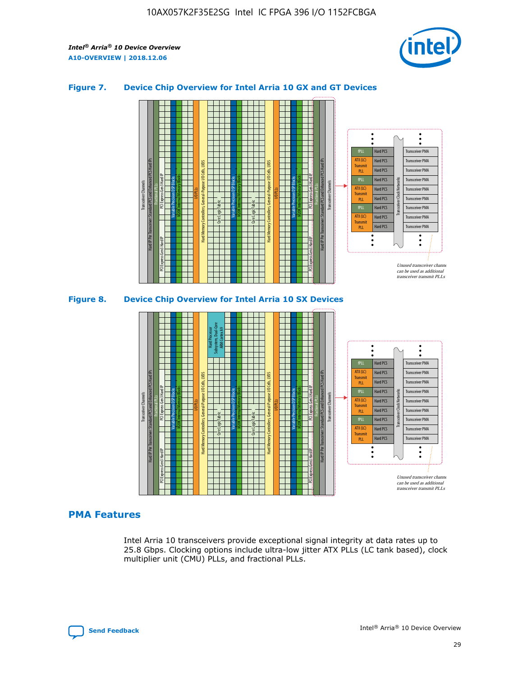

### **Figure 7. Device Chip Overview for Intel Arria 10 GX and GT Devices**



M20K Internal Memory Blocks Core Logic Fabric Transceiver Channels Hard IP Per Transceiver: Standard PCS and Enhanced PCS Hard IPs PCI Express Gen3 Hard IP Fractional PLLs M20K Internal Memory Blocks PCI Express Gen3 Hard IP Variable Precision DSP Blocks I/O PLLs Hard Memory Controllers, General-Purpose I/O Cells, LVDS Hard Processor Subsystem, Dual-Core ARM Cortex A9 M20K Internal Memory Blocks Variable Precision DSP Blocks M20K Internal Memory Blocks Core Logic Fabric I/O PLLs Hard Memory Controllers, General-Purpose I/O Cells, LVDS M20K Internal Memory Blocks Variable Precision DSP Blocks M20K Internal Memory Blocks Transceiver Channels Hard IP Per Transceiver: Standard PCS and Enhanced PCS Hard IPs PCI Express Gen3 Hard IP Fractional PLLs PCI Express Gen3 Hard IP Hard PCS Hard PCS Hard PCS Hard PCS Hard PCS Hard PCS Hard PCS Hard PCS Transceiver PMA Transceiver PMA Transceiver PMA Transceiver PMA Transceiver PMA Transceiver PMA Unused transceiver chann can be used as additional transceiver transmit PLLs Transceiver PMA Transceiver PMA Transceiver Clock Networks ATX (LC) **Transmit** PLL fPLL ATX (LC) Transmi PLL fPLL ATX (LC) **Transmit** PLL

## **PMA Features**

Intel Arria 10 transceivers provide exceptional signal integrity at data rates up to 25.8 Gbps. Clocking options include ultra-low jitter ATX PLLs (LC tank based), clock multiplier unit (CMU) PLLs, and fractional PLLs.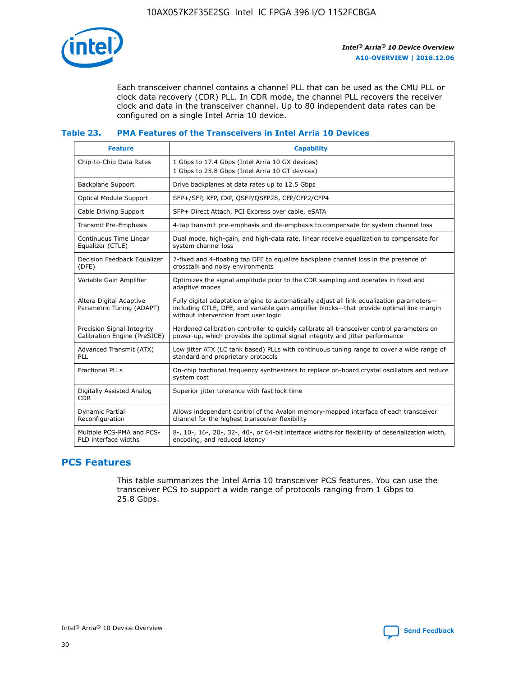

Each transceiver channel contains a channel PLL that can be used as the CMU PLL or clock data recovery (CDR) PLL. In CDR mode, the channel PLL recovers the receiver clock and data in the transceiver channel. Up to 80 independent data rates can be configured on a single Intel Arria 10 device.

## **Table 23. PMA Features of the Transceivers in Intel Arria 10 Devices**

| <b>Feature</b>                                             | <b>Capability</b>                                                                                                                                                                                                             |
|------------------------------------------------------------|-------------------------------------------------------------------------------------------------------------------------------------------------------------------------------------------------------------------------------|
| Chip-to-Chip Data Rates                                    | 1 Gbps to 17.4 Gbps (Intel Arria 10 GX devices)<br>1 Gbps to 25.8 Gbps (Intel Arria 10 GT devices)                                                                                                                            |
| Backplane Support                                          | Drive backplanes at data rates up to 12.5 Gbps                                                                                                                                                                                |
| <b>Optical Module Support</b>                              | SFP+/SFP, XFP, CXP, QSFP/QSFP28, CFP/CFP2/CFP4                                                                                                                                                                                |
| Cable Driving Support                                      | SFP+ Direct Attach, PCI Express over cable, eSATA                                                                                                                                                                             |
| Transmit Pre-Emphasis                                      | 4-tap transmit pre-emphasis and de-emphasis to compensate for system channel loss                                                                                                                                             |
| Continuous Time Linear<br>Equalizer (CTLE)                 | Dual mode, high-gain, and high-data rate, linear receive equalization to compensate for<br>system channel loss                                                                                                                |
| Decision Feedback Equalizer<br>(DFE)                       | 7-fixed and 4-floating tap DFE to equalize backplane channel loss in the presence of<br>crosstalk and noisy environments                                                                                                      |
| Variable Gain Amplifier                                    | Optimizes the signal amplitude prior to the CDR sampling and operates in fixed and<br>adaptive modes                                                                                                                          |
| Altera Digital Adaptive<br>Parametric Tuning (ADAPT)       | Fully digital adaptation engine to automatically adjust all link equalization parameters-<br>including CTLE, DFE, and variable gain amplifier blocks-that provide optimal link margin<br>without intervention from user logic |
| Precision Signal Integrity<br>Calibration Engine (PreSICE) | Hardened calibration controller to quickly calibrate all transceiver control parameters on<br>power-up, which provides the optimal signal integrity and jitter performance                                                    |
| Advanced Transmit (ATX)<br>PLL                             | Low jitter ATX (LC tank based) PLLs with continuous tuning range to cover a wide range of<br>standard and proprietary protocols                                                                                               |
| <b>Fractional PLLs</b>                                     | On-chip fractional frequency synthesizers to replace on-board crystal oscillators and reduce<br>system cost                                                                                                                   |
| Digitally Assisted Analog<br><b>CDR</b>                    | Superior jitter tolerance with fast lock time                                                                                                                                                                                 |
| <b>Dynamic Partial</b><br>Reconfiguration                  | Allows independent control of the Avalon memory-mapped interface of each transceiver<br>channel for the highest transceiver flexibility                                                                                       |
| Multiple PCS-PMA and PCS-<br>PLD interface widths          | 8-, 10-, 16-, 20-, 32-, 40-, or 64-bit interface widths for flexibility of deserialization width,<br>encoding, and reduced latency                                                                                            |

## **PCS Features**

This table summarizes the Intel Arria 10 transceiver PCS features. You can use the transceiver PCS to support a wide range of protocols ranging from 1 Gbps to 25.8 Gbps.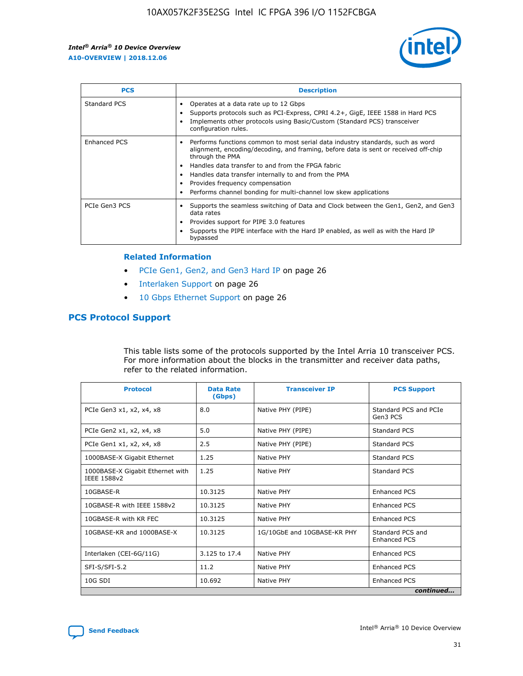

| <b>PCS</b>    | <b>Description</b>                                                                                                                                                                                                                                                                                                                                                                                             |
|---------------|----------------------------------------------------------------------------------------------------------------------------------------------------------------------------------------------------------------------------------------------------------------------------------------------------------------------------------------------------------------------------------------------------------------|
| Standard PCS  | Operates at a data rate up to 12 Gbps<br>Supports protocols such as PCI-Express, CPRI 4.2+, GigE, IEEE 1588 in Hard PCS<br>Implements other protocols using Basic/Custom (Standard PCS) transceiver<br>configuration rules.                                                                                                                                                                                    |
| Enhanced PCS  | Performs functions common to most serial data industry standards, such as word<br>alignment, encoding/decoding, and framing, before data is sent or received off-chip<br>through the PMA<br>• Handles data transfer to and from the FPGA fabric<br>Handles data transfer internally to and from the PMA<br>Provides frequency compensation<br>Performs channel bonding for multi-channel low skew applications |
| PCIe Gen3 PCS | Supports the seamless switching of Data and Clock between the Gen1, Gen2, and Gen3<br>data rates<br>Provides support for PIPE 3.0 features<br>Supports the PIPE interface with the Hard IP enabled, as well as with the Hard IP<br>bypassed                                                                                                                                                                    |

#### **Related Information**

- PCIe Gen1, Gen2, and Gen3 Hard IP on page 26
- Interlaken Support on page 26
- 10 Gbps Ethernet Support on page 26

## **PCS Protocol Support**

This table lists some of the protocols supported by the Intel Arria 10 transceiver PCS. For more information about the blocks in the transmitter and receiver data paths, refer to the related information.

| <b>Protocol</b>                                 | <b>Data Rate</b><br>(Gbps) | <b>Transceiver IP</b>       | <b>PCS Support</b>                      |
|-------------------------------------------------|----------------------------|-----------------------------|-----------------------------------------|
| PCIe Gen3 x1, x2, x4, x8                        | 8.0                        | Native PHY (PIPE)           | Standard PCS and PCIe<br>Gen3 PCS       |
| PCIe Gen2 x1, x2, x4, x8                        | 5.0                        | Native PHY (PIPE)           | <b>Standard PCS</b>                     |
| PCIe Gen1 x1, x2, x4, x8                        | 2.5                        | Native PHY (PIPE)           | Standard PCS                            |
| 1000BASE-X Gigabit Ethernet                     | 1.25                       | Native PHY                  | <b>Standard PCS</b>                     |
| 1000BASE-X Gigabit Ethernet with<br>IEEE 1588v2 | 1.25                       | Native PHY                  | Standard PCS                            |
| 10GBASE-R                                       | 10.3125                    | Native PHY                  | <b>Enhanced PCS</b>                     |
| 10GBASE-R with IEEE 1588v2                      | 10.3125                    | Native PHY                  | <b>Enhanced PCS</b>                     |
| 10GBASE-R with KR FEC                           | 10.3125                    | Native PHY                  | <b>Enhanced PCS</b>                     |
| 10GBASE-KR and 1000BASE-X                       | 10.3125                    | 1G/10GbE and 10GBASE-KR PHY | Standard PCS and<br><b>Enhanced PCS</b> |
| Interlaken (CEI-6G/11G)                         | 3.125 to 17.4              | Native PHY                  | <b>Enhanced PCS</b>                     |
| SFI-S/SFI-5.2                                   | 11.2                       | Native PHY                  | <b>Enhanced PCS</b>                     |
| $10G$ SDI                                       | 10.692                     | Native PHY                  | <b>Enhanced PCS</b>                     |
|                                                 |                            |                             | continued                               |

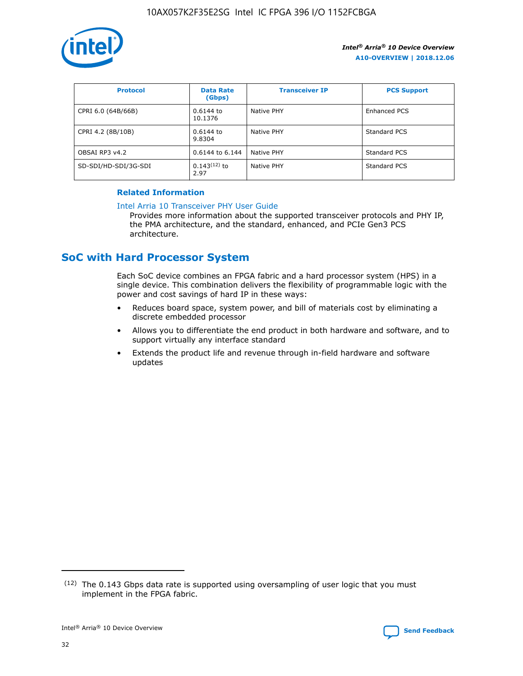

| <b>Protocol</b>      | <b>Data Rate</b><br>(Gbps) | <b>Transceiver IP</b> | <b>PCS Support</b> |
|----------------------|----------------------------|-----------------------|--------------------|
| CPRI 6.0 (64B/66B)   | 0.6144 to<br>10.1376       | Native PHY            | Enhanced PCS       |
| CPRI 4.2 (8B/10B)    | $0.6144$ to<br>9.8304      | Native PHY            | Standard PCS       |
| OBSAI RP3 v4.2       | 0.6144 to 6.144            | Native PHY            | Standard PCS       |
| SD-SDI/HD-SDI/3G-SDI | $0.143(12)$ to<br>2.97     | Native PHY            | Standard PCS       |

## **Related Information**

#### [Intel Arria 10 Transceiver PHY User Guide](https://www.intel.com/content/www/us/en/programmable/documentation/nik1398707230472.html#nik1398707091164)

Provides more information about the supported transceiver protocols and PHY IP, the PMA architecture, and the standard, enhanced, and PCIe Gen3 PCS architecture.

## **SoC with Hard Processor System**

Each SoC device combines an FPGA fabric and a hard processor system (HPS) in a single device. This combination delivers the flexibility of programmable logic with the power and cost savings of hard IP in these ways:

- Reduces board space, system power, and bill of materials cost by eliminating a discrete embedded processor
- Allows you to differentiate the end product in both hardware and software, and to support virtually any interface standard
- Extends the product life and revenue through in-field hardware and software updates

<sup>(12)</sup> The 0.143 Gbps data rate is supported using oversampling of user logic that you must implement in the FPGA fabric.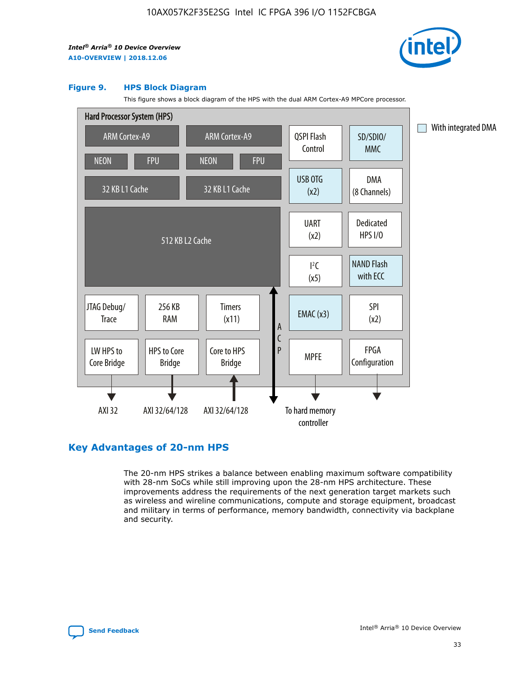

#### **Figure 9. HPS Block Diagram**

This figure shows a block diagram of the HPS with the dual ARM Cortex-A9 MPCore processor.



## **Key Advantages of 20-nm HPS**

The 20-nm HPS strikes a balance between enabling maximum software compatibility with 28-nm SoCs while still improving upon the 28-nm HPS architecture. These improvements address the requirements of the next generation target markets such as wireless and wireline communications, compute and storage equipment, broadcast and military in terms of performance, memory bandwidth, connectivity via backplane and security.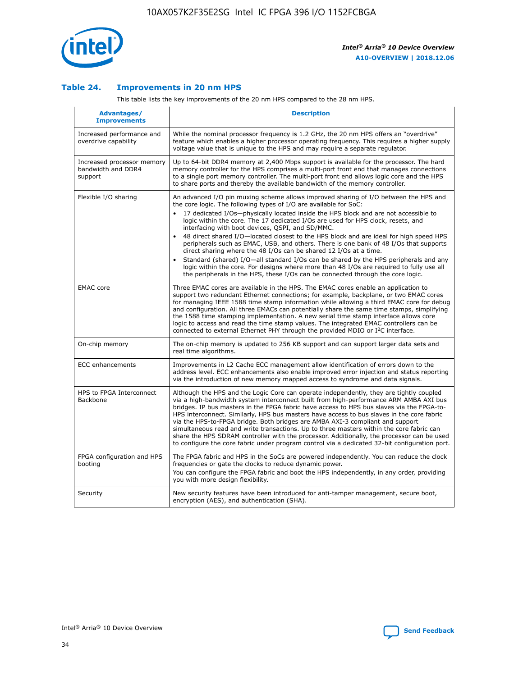

## **Table 24. Improvements in 20 nm HPS**

This table lists the key improvements of the 20 nm HPS compared to the 28 nm HPS.

| Advantages/<br><b>Improvements</b>                          | <b>Description</b>                                                                                                                                                                                                                                                                                                                                                                                                                                                                                                                                                                                                                                                                                                                                                                                                                   |
|-------------------------------------------------------------|--------------------------------------------------------------------------------------------------------------------------------------------------------------------------------------------------------------------------------------------------------------------------------------------------------------------------------------------------------------------------------------------------------------------------------------------------------------------------------------------------------------------------------------------------------------------------------------------------------------------------------------------------------------------------------------------------------------------------------------------------------------------------------------------------------------------------------------|
| Increased performance and<br>overdrive capability           | While the nominal processor frequency is 1.2 GHz, the 20 nm HPS offers an "overdrive"<br>feature which enables a higher processor operating frequency. This requires a higher supply<br>voltage value that is unique to the HPS and may require a separate regulator.                                                                                                                                                                                                                                                                                                                                                                                                                                                                                                                                                                |
| Increased processor memory<br>bandwidth and DDR4<br>support | Up to 64-bit DDR4 memory at 2,400 Mbps support is available for the processor. The hard<br>memory controller for the HPS comprises a multi-port front end that manages connections<br>to a single port memory controller. The multi-port front end allows logic core and the HPS<br>to share ports and thereby the available bandwidth of the memory controller.                                                                                                                                                                                                                                                                                                                                                                                                                                                                     |
| Flexible I/O sharing                                        | An advanced I/O pin muxing scheme allows improved sharing of I/O between the HPS and<br>the core logic. The following types of I/O are available for SoC:<br>17 dedicated I/Os-physically located inside the HPS block and are not accessible to<br>logic within the core. The 17 dedicated I/Os are used for HPS clock, resets, and<br>interfacing with boot devices, QSPI, and SD/MMC.<br>48 direct shared I/O-located closest to the HPS block and are ideal for high speed HPS<br>peripherals such as EMAC, USB, and others. There is one bank of 48 I/Os that supports<br>direct sharing where the 48 I/Os can be shared 12 I/Os at a time.<br>Standard (shared) I/O-all standard I/Os can be shared by the HPS peripherals and any<br>logic within the core. For designs where more than 48 I/Os are reguired to fully use all |
| <b>EMAC</b> core                                            | the peripherals in the HPS, these I/Os can be connected through the core logic.<br>Three EMAC cores are available in the HPS. The EMAC cores enable an application to<br>support two redundant Ethernet connections; for example, backplane, or two EMAC cores<br>for managing IEEE 1588 time stamp information while allowing a third EMAC core for debug<br>and configuration. All three EMACs can potentially share the same time stamps, simplifying<br>the 1588 time stamping implementation. A new serial time stamp interface allows core<br>logic to access and read the time stamp values. The integrated EMAC controllers can be<br>connected to external Ethernet PHY through the provided MDIO or I <sup>2</sup> C interface.                                                                                            |
| On-chip memory                                              | The on-chip memory is updated to 256 KB support and can support larger data sets and<br>real time algorithms.                                                                                                                                                                                                                                                                                                                                                                                                                                                                                                                                                                                                                                                                                                                        |
| <b>ECC</b> enhancements                                     | Improvements in L2 Cache ECC management allow identification of errors down to the<br>address level. ECC enhancements also enable improved error injection and status reporting<br>via the introduction of new memory mapped access to syndrome and data signals.                                                                                                                                                                                                                                                                                                                                                                                                                                                                                                                                                                    |
| HPS to FPGA Interconnect<br>Backbone                        | Although the HPS and the Logic Core can operate independently, they are tightly coupled<br>via a high-bandwidth system interconnect built from high-performance ARM AMBA AXI bus<br>bridges. IP bus masters in the FPGA fabric have access to HPS bus slaves via the FPGA-to-<br>HPS interconnect. Similarly, HPS bus masters have access to bus slaves in the core fabric<br>via the HPS-to-FPGA bridge. Both bridges are AMBA AXI-3 compliant and support<br>simultaneous read and write transactions. Up to three masters within the core fabric can<br>share the HPS SDRAM controller with the processor. Additionally, the processor can be used<br>to configure the core fabric under program control via a dedicated 32-bit configuration port.                                                                               |
| FPGA configuration and HPS<br>booting                       | The FPGA fabric and HPS in the SoCs are powered independently. You can reduce the clock<br>frequencies or gate the clocks to reduce dynamic power.<br>You can configure the FPGA fabric and boot the HPS independently, in any order, providing<br>you with more design flexibility.                                                                                                                                                                                                                                                                                                                                                                                                                                                                                                                                                 |
| Security                                                    | New security features have been introduced for anti-tamper management, secure boot,<br>encryption (AES), and authentication (SHA).                                                                                                                                                                                                                                                                                                                                                                                                                                                                                                                                                                                                                                                                                                   |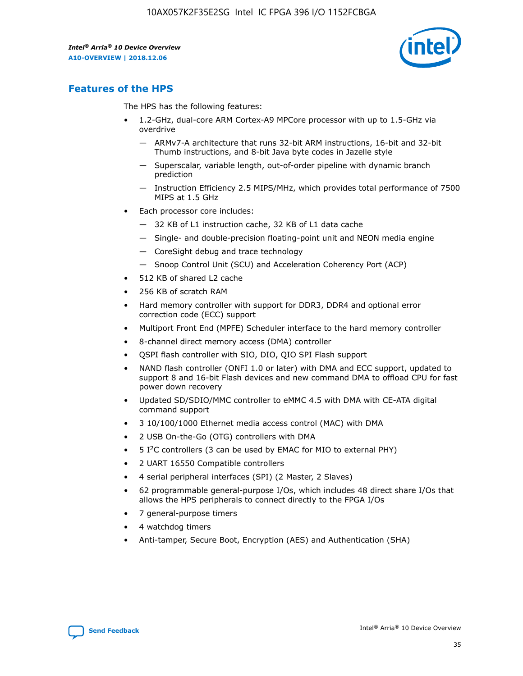

## **Features of the HPS**

The HPS has the following features:

- 1.2-GHz, dual-core ARM Cortex-A9 MPCore processor with up to 1.5-GHz via overdrive
	- ARMv7-A architecture that runs 32-bit ARM instructions, 16-bit and 32-bit Thumb instructions, and 8-bit Java byte codes in Jazelle style
	- Superscalar, variable length, out-of-order pipeline with dynamic branch prediction
	- Instruction Efficiency 2.5 MIPS/MHz, which provides total performance of 7500 MIPS at 1.5 GHz
- Each processor core includes:
	- 32 KB of L1 instruction cache, 32 KB of L1 data cache
	- Single- and double-precision floating-point unit and NEON media engine
	- CoreSight debug and trace technology
	- Snoop Control Unit (SCU) and Acceleration Coherency Port (ACP)
- 512 KB of shared L2 cache
- 256 KB of scratch RAM
- Hard memory controller with support for DDR3, DDR4 and optional error correction code (ECC) support
- Multiport Front End (MPFE) Scheduler interface to the hard memory controller
- 8-channel direct memory access (DMA) controller
- QSPI flash controller with SIO, DIO, QIO SPI Flash support
- NAND flash controller (ONFI 1.0 or later) with DMA and ECC support, updated to support 8 and 16-bit Flash devices and new command DMA to offload CPU for fast power down recovery
- Updated SD/SDIO/MMC controller to eMMC 4.5 with DMA with CE-ATA digital command support
- 3 10/100/1000 Ethernet media access control (MAC) with DMA
- 2 USB On-the-Go (OTG) controllers with DMA
- $\bullet$  5 I<sup>2</sup>C controllers (3 can be used by EMAC for MIO to external PHY)
- 2 UART 16550 Compatible controllers
- 4 serial peripheral interfaces (SPI) (2 Master, 2 Slaves)
- 62 programmable general-purpose I/Os, which includes 48 direct share I/Os that allows the HPS peripherals to connect directly to the FPGA I/Os
- 7 general-purpose timers
- 4 watchdog timers
- Anti-tamper, Secure Boot, Encryption (AES) and Authentication (SHA)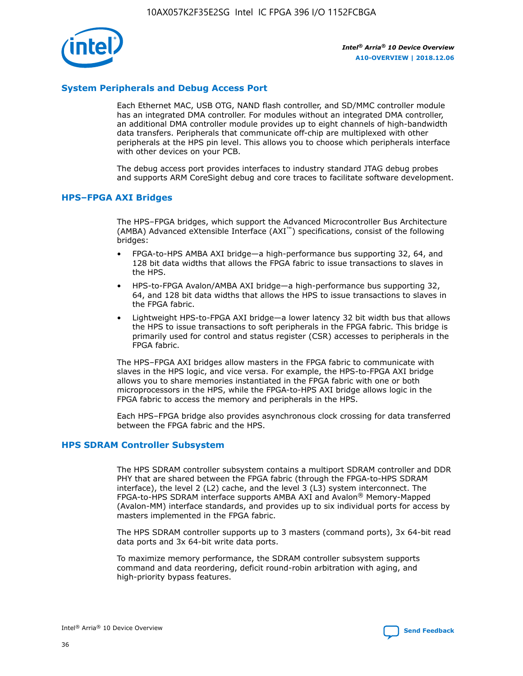

## **System Peripherals and Debug Access Port**

Each Ethernet MAC, USB OTG, NAND flash controller, and SD/MMC controller module has an integrated DMA controller. For modules without an integrated DMA controller, an additional DMA controller module provides up to eight channels of high-bandwidth data transfers. Peripherals that communicate off-chip are multiplexed with other peripherals at the HPS pin level. This allows you to choose which peripherals interface with other devices on your PCB.

The debug access port provides interfaces to industry standard JTAG debug probes and supports ARM CoreSight debug and core traces to facilitate software development.

## **HPS–FPGA AXI Bridges**

The HPS–FPGA bridges, which support the Advanced Microcontroller Bus Architecture (AMBA) Advanced eXtensible Interface (AXI™) specifications, consist of the following bridges:

- FPGA-to-HPS AMBA AXI bridge—a high-performance bus supporting 32, 64, and 128 bit data widths that allows the FPGA fabric to issue transactions to slaves in the HPS.
- HPS-to-FPGA Avalon/AMBA AXI bridge—a high-performance bus supporting 32, 64, and 128 bit data widths that allows the HPS to issue transactions to slaves in the FPGA fabric.
- Lightweight HPS-to-FPGA AXI bridge—a lower latency 32 bit width bus that allows the HPS to issue transactions to soft peripherals in the FPGA fabric. This bridge is primarily used for control and status register (CSR) accesses to peripherals in the FPGA fabric.

The HPS–FPGA AXI bridges allow masters in the FPGA fabric to communicate with slaves in the HPS logic, and vice versa. For example, the HPS-to-FPGA AXI bridge allows you to share memories instantiated in the FPGA fabric with one or both microprocessors in the HPS, while the FPGA-to-HPS AXI bridge allows logic in the FPGA fabric to access the memory and peripherals in the HPS.

Each HPS–FPGA bridge also provides asynchronous clock crossing for data transferred between the FPGA fabric and the HPS.

#### **HPS SDRAM Controller Subsystem**

The HPS SDRAM controller subsystem contains a multiport SDRAM controller and DDR PHY that are shared between the FPGA fabric (through the FPGA-to-HPS SDRAM interface), the level 2 (L2) cache, and the level 3 (L3) system interconnect. The FPGA-to-HPS SDRAM interface supports AMBA AXI and Avalon® Memory-Mapped (Avalon-MM) interface standards, and provides up to six individual ports for access by masters implemented in the FPGA fabric.

The HPS SDRAM controller supports up to 3 masters (command ports), 3x 64-bit read data ports and 3x 64-bit write data ports.

To maximize memory performance, the SDRAM controller subsystem supports command and data reordering, deficit round-robin arbitration with aging, and high-priority bypass features.

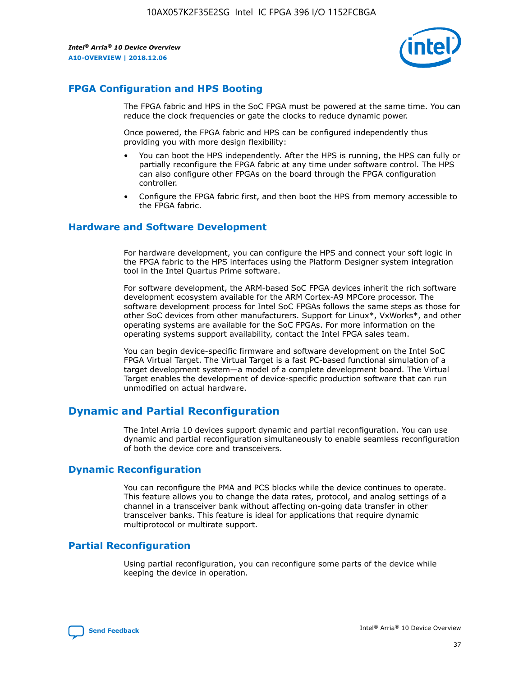

## **FPGA Configuration and HPS Booting**

The FPGA fabric and HPS in the SoC FPGA must be powered at the same time. You can reduce the clock frequencies or gate the clocks to reduce dynamic power.

Once powered, the FPGA fabric and HPS can be configured independently thus providing you with more design flexibility:

- You can boot the HPS independently. After the HPS is running, the HPS can fully or partially reconfigure the FPGA fabric at any time under software control. The HPS can also configure other FPGAs on the board through the FPGA configuration controller.
- Configure the FPGA fabric first, and then boot the HPS from memory accessible to the FPGA fabric.

## **Hardware and Software Development**

For hardware development, you can configure the HPS and connect your soft logic in the FPGA fabric to the HPS interfaces using the Platform Designer system integration tool in the Intel Quartus Prime software.

For software development, the ARM-based SoC FPGA devices inherit the rich software development ecosystem available for the ARM Cortex-A9 MPCore processor. The software development process for Intel SoC FPGAs follows the same steps as those for other SoC devices from other manufacturers. Support for Linux\*, VxWorks\*, and other operating systems are available for the SoC FPGAs. For more information on the operating systems support availability, contact the Intel FPGA sales team.

You can begin device-specific firmware and software development on the Intel SoC FPGA Virtual Target. The Virtual Target is a fast PC-based functional simulation of a target development system—a model of a complete development board. The Virtual Target enables the development of device-specific production software that can run unmodified on actual hardware.

## **Dynamic and Partial Reconfiguration**

The Intel Arria 10 devices support dynamic and partial reconfiguration. You can use dynamic and partial reconfiguration simultaneously to enable seamless reconfiguration of both the device core and transceivers.

## **Dynamic Reconfiguration**

You can reconfigure the PMA and PCS blocks while the device continues to operate. This feature allows you to change the data rates, protocol, and analog settings of a channel in a transceiver bank without affecting on-going data transfer in other transceiver banks. This feature is ideal for applications that require dynamic multiprotocol or multirate support.

## **Partial Reconfiguration**

Using partial reconfiguration, you can reconfigure some parts of the device while keeping the device in operation.

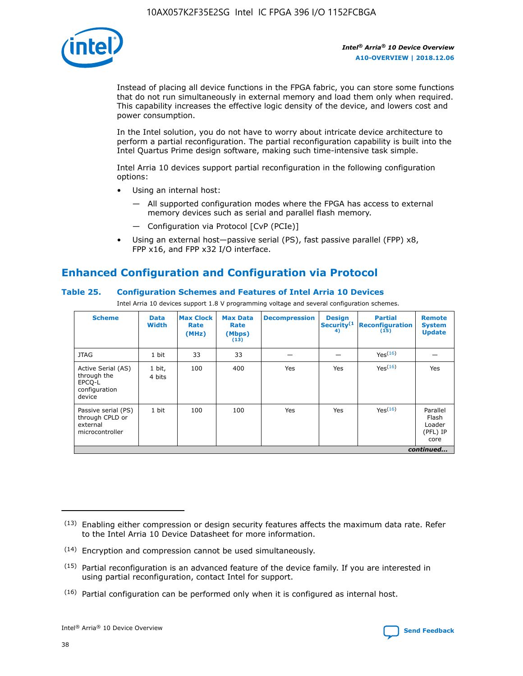

Instead of placing all device functions in the FPGA fabric, you can store some functions that do not run simultaneously in external memory and load them only when required. This capability increases the effective logic density of the device, and lowers cost and power consumption.

In the Intel solution, you do not have to worry about intricate device architecture to perform a partial reconfiguration. The partial reconfiguration capability is built into the Intel Quartus Prime design software, making such time-intensive task simple.

Intel Arria 10 devices support partial reconfiguration in the following configuration options:

- Using an internal host:
	- All supported configuration modes where the FPGA has access to external memory devices such as serial and parallel flash memory.
	- Configuration via Protocol [CvP (PCIe)]
- Using an external host—passive serial (PS), fast passive parallel (FPP) x8, FPP x16, and FPP x32 I/O interface.

# **Enhanced Configuration and Configuration via Protocol**

## **Table 25. Configuration Schemes and Features of Intel Arria 10 Devices**

Intel Arria 10 devices support 1.8 V programming voltage and several configuration schemes.

| <b>Scheme</b>                                                          | <b>Data</b><br><b>Width</b> | <b>Max Clock</b><br>Rate<br>(MHz) | <b>Max Data</b><br>Rate<br>(Mbps)<br>(13) | <b>Decompression</b> | <b>Design</b><br>Security <sup>(1</sup><br>4) | <b>Partial</b><br><b>Reconfiguration</b><br>(15) | <b>Remote</b><br><b>System</b><br><b>Update</b> |
|------------------------------------------------------------------------|-----------------------------|-----------------------------------|-------------------------------------------|----------------------|-----------------------------------------------|--------------------------------------------------|-------------------------------------------------|
| <b>JTAG</b>                                                            | 1 bit                       | 33                                | 33                                        |                      |                                               | Yes(16)                                          |                                                 |
| Active Serial (AS)<br>through the<br>EPCO-L<br>configuration<br>device | 1 bit,<br>4 bits            | 100                               | 400                                       | Yes                  | Yes                                           | $Y_{PS}(16)$                                     | Yes                                             |
| Passive serial (PS)<br>through CPLD or<br>external<br>microcontroller  | 1 bit                       | 100                               | 100                                       | Yes                  | Yes                                           | Yes(16)                                          | Parallel<br>Flash<br>Loader<br>(PFL) IP<br>core |
|                                                                        |                             |                                   |                                           |                      |                                               |                                                  | continued                                       |

<sup>(13)</sup> Enabling either compression or design security features affects the maximum data rate. Refer to the Intel Arria 10 Device Datasheet for more information.

<sup>(14)</sup> Encryption and compression cannot be used simultaneously.

 $(15)$  Partial reconfiguration is an advanced feature of the device family. If you are interested in using partial reconfiguration, contact Intel for support.

 $(16)$  Partial configuration can be performed only when it is configured as internal host.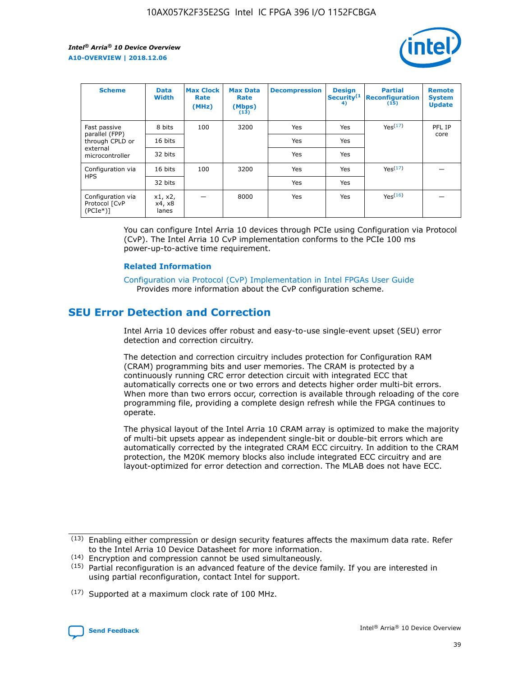

| <b>Scheme</b>                                   | <b>Data</b><br><b>Width</b> | <b>Max Clock</b><br>Rate<br>(MHz) | <b>Max Data</b><br>Rate<br>(Mbps)<br>(13) | <b>Decompression</b> | <b>Design</b><br>Security <sup>(1</sup><br>4) | <b>Partial</b><br><b>Reconfiguration</b><br>(15) | <b>Remote</b><br><b>System</b><br><b>Update</b> |
|-------------------------------------------------|-----------------------------|-----------------------------------|-------------------------------------------|----------------------|-----------------------------------------------|--------------------------------------------------|-------------------------------------------------|
| Fast passive                                    | 8 bits                      | 100                               | 3200                                      | Yes                  | Yes                                           | Yes(17)                                          | PFL IP                                          |
| parallel (FPP)<br>through CPLD or               | 16 bits                     |                                   |                                           | Yes                  | Yes                                           |                                                  | core                                            |
| external<br>microcontroller                     | 32 bits                     |                                   |                                           | Yes                  | Yes                                           |                                                  |                                                 |
| Configuration via                               | 16 bits                     | 100                               | 3200                                      | Yes                  | Yes                                           | Yes <sup>(17)</sup>                              |                                                 |
| <b>HPS</b>                                      | 32 bits                     |                                   |                                           | Yes                  | Yes                                           |                                                  |                                                 |
| Configuration via<br>Protocol [CvP<br>$(PCIe*)$ | x1, x2,<br>x4, x8<br>lanes  |                                   | 8000                                      | Yes                  | Yes                                           | Yes(16)                                          |                                                 |

You can configure Intel Arria 10 devices through PCIe using Configuration via Protocol (CvP). The Intel Arria 10 CvP implementation conforms to the PCIe 100 ms power-up-to-active time requirement.

#### **Related Information**

[Configuration via Protocol \(CvP\) Implementation in Intel FPGAs User Guide](https://www.intel.com/content/www/us/en/programmable/documentation/dsu1441819344145.html#dsu1442269728522) Provides more information about the CvP configuration scheme.

## **SEU Error Detection and Correction**

Intel Arria 10 devices offer robust and easy-to-use single-event upset (SEU) error detection and correction circuitry.

The detection and correction circuitry includes protection for Configuration RAM (CRAM) programming bits and user memories. The CRAM is protected by a continuously running CRC error detection circuit with integrated ECC that automatically corrects one or two errors and detects higher order multi-bit errors. When more than two errors occur, correction is available through reloading of the core programming file, providing a complete design refresh while the FPGA continues to operate.

The physical layout of the Intel Arria 10 CRAM array is optimized to make the majority of multi-bit upsets appear as independent single-bit or double-bit errors which are automatically corrected by the integrated CRAM ECC circuitry. In addition to the CRAM protection, the M20K memory blocks also include integrated ECC circuitry and are layout-optimized for error detection and correction. The MLAB does not have ECC.

(14) Encryption and compression cannot be used simultaneously.

<sup>(17)</sup> Supported at a maximum clock rate of 100 MHz.



 $(13)$  Enabling either compression or design security features affects the maximum data rate. Refer to the Intel Arria 10 Device Datasheet for more information.

 $(15)$  Partial reconfiguration is an advanced feature of the device family. If you are interested in using partial reconfiguration, contact Intel for support.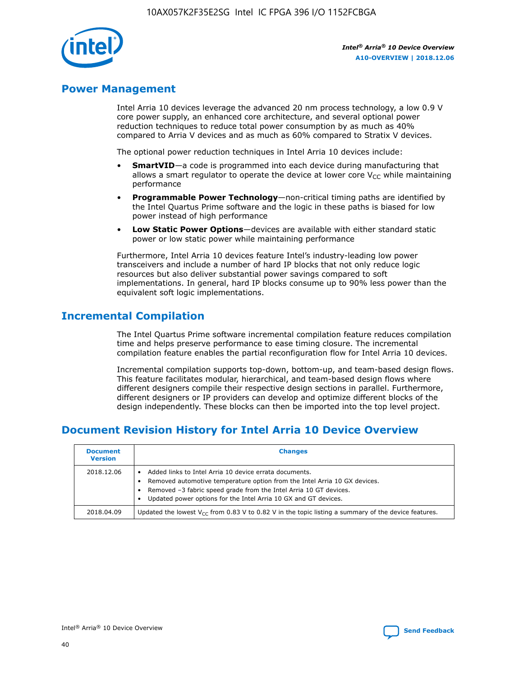

## **Power Management**

Intel Arria 10 devices leverage the advanced 20 nm process technology, a low 0.9 V core power supply, an enhanced core architecture, and several optional power reduction techniques to reduce total power consumption by as much as 40% compared to Arria V devices and as much as 60% compared to Stratix V devices.

The optional power reduction techniques in Intel Arria 10 devices include:

- **SmartVID**—a code is programmed into each device during manufacturing that allows a smart regulator to operate the device at lower core  $V_{CC}$  while maintaining performance
- **Programmable Power Technology**—non-critical timing paths are identified by the Intel Quartus Prime software and the logic in these paths is biased for low power instead of high performance
- **Low Static Power Options**—devices are available with either standard static power or low static power while maintaining performance

Furthermore, Intel Arria 10 devices feature Intel's industry-leading low power transceivers and include a number of hard IP blocks that not only reduce logic resources but also deliver substantial power savings compared to soft implementations. In general, hard IP blocks consume up to 90% less power than the equivalent soft logic implementations.

## **Incremental Compilation**

The Intel Quartus Prime software incremental compilation feature reduces compilation time and helps preserve performance to ease timing closure. The incremental compilation feature enables the partial reconfiguration flow for Intel Arria 10 devices.

Incremental compilation supports top-down, bottom-up, and team-based design flows. This feature facilitates modular, hierarchical, and team-based design flows where different designers compile their respective design sections in parallel. Furthermore, different designers or IP providers can develop and optimize different blocks of the design independently. These blocks can then be imported into the top level project.

# **Document Revision History for Intel Arria 10 Device Overview**

| <b>Document</b><br><b>Version</b> | <b>Changes</b>                                                                                                                                                                                                                                                              |
|-----------------------------------|-----------------------------------------------------------------------------------------------------------------------------------------------------------------------------------------------------------------------------------------------------------------------------|
| 2018.12.06                        | Added links to Intel Arria 10 device errata documents.<br>Removed automotive temperature option from the Intel Arria 10 GX devices.<br>Removed -3 fabric speed grade from the Intel Arria 10 GT devices.<br>Updated power options for the Intel Arria 10 GX and GT devices. |
| 2018.04.09                        | Updated the lowest $V_{CC}$ from 0.83 V to 0.82 V in the topic listing a summary of the device features.                                                                                                                                                                    |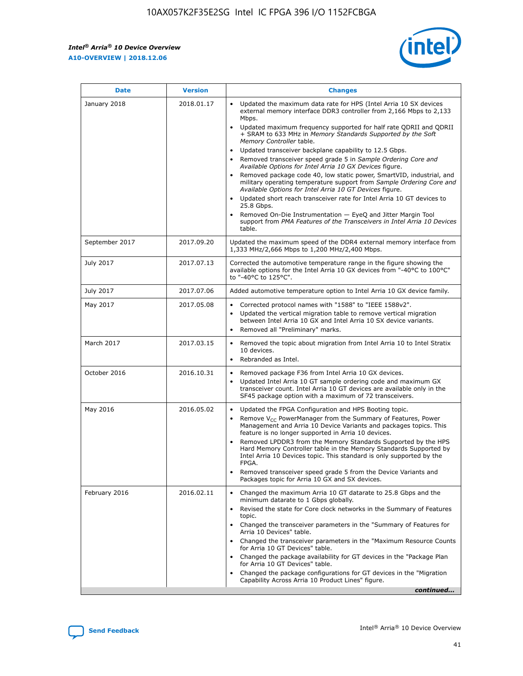$\mathsf{r}$ 



| January 2018<br>Updated the maximum data rate for HPS (Intel Arria 10 SX devices<br>2018.01.17<br>external memory interface DDR3 controller from 2,166 Mbps to 2,133<br>Mbps.<br>$\bullet$<br>+ SRAM to 633 MHz in Memory Standards Supported by the Soft<br>Memory Controller table.<br>Updated transceiver backplane capability to 12.5 Gbps.<br>$\bullet$<br>Removed transceiver speed grade 5 in Sample Ordering Core and<br>Available Options for Intel Arria 10 GX Devices figure.<br>Available Options for Intel Arria 10 GT Devices figure.<br>Updated short reach transceiver rate for Intel Arria 10 GT devices to<br>$\bullet$<br>25.8 Gbps.<br>Removed On-Die Instrumentation - EyeQ and Jitter Margin Tool<br>table.<br>2017.09.20<br>September 2017<br>1,333 MHz/2,666 Mbps to 1,200 MHz/2,400 Mbps.<br>July 2017<br>2017.07.13<br>Corrected the automotive temperature range in the figure showing the<br>available options for the Intel Arria 10 GX devices from "-40°C to 100°C"<br>to "-40°C to 125°C".<br>July 2017<br>2017.07.06<br>Added automotive temperature option to Intel Arria 10 GX device family.<br>2017.05.08<br>Corrected protocol names with "1588" to "IEEE 1588v2".<br>May 2017<br>$\bullet$<br>Updated the vertical migration table to remove vertical migration<br>$\bullet$<br>between Intel Arria 10 GX and Intel Arria 10 SX device variants.<br>Removed all "Preliminary" marks.<br>2017.03.15<br>March 2017<br>Removed the topic about migration from Intel Arria 10 to Intel Stratix<br>10 devices.<br>Rebranded as Intel.<br>$\bullet$<br>October 2016<br>2016.10.31<br>Removed package F36 from Intel Arria 10 GX devices.<br>$\bullet$<br>Updated Intel Arria 10 GT sample ordering code and maximum GX<br>$\bullet$<br>transceiver count. Intel Arria 10 GT devices are available only in the<br>SF45 package option with a maximum of 72 transceivers.<br>May 2016<br>2016.05.02<br>Updated the FPGA Configuration and HPS Booting topic.<br>Remove $V_{CC}$ PowerManager from the Summary of Features, Power<br>Management and Arria 10 Device Variants and packages topics. This<br>feature is no longer supported in Arria 10 devices.<br>Removed LPDDR3 from the Memory Standards Supported by the HPS<br>Hard Memory Controller table in the Memory Standards Supported by<br>Intel Arria 10 Devices topic. This standard is only supported by the<br>FPGA.<br>Removed transceiver speed grade 5 from the Device Variants and<br>Packages topic for Arria 10 GX and SX devices.<br>Changed the maximum Arria 10 GT datarate to 25.8 Gbps and the<br>February 2016<br>2016.02.11<br>minimum datarate to 1 Gbps globally.<br>Revised the state for Core clock networks in the Summary of Features<br>$\bullet$<br>topic.<br>• Changed the transceiver parameters in the "Summary of Features for<br>Arria 10 Devices" table.<br>for Arria 10 GT Devices" table.<br>• Changed the package availability for GT devices in the "Package Plan<br>for Arria 10 GT Devices" table.<br>Changed the package configurations for GT devices in the "Migration"<br>Capability Across Arria 10 Product Lines" figure. | <b>Date</b> | <b>Version</b> | <b>Changes</b>                                                                                                                                                                                                                                                                               |
|----------------------------------------------------------------------------------------------------------------------------------------------------------------------------------------------------------------------------------------------------------------------------------------------------------------------------------------------------------------------------------------------------------------------------------------------------------------------------------------------------------------------------------------------------------------------------------------------------------------------------------------------------------------------------------------------------------------------------------------------------------------------------------------------------------------------------------------------------------------------------------------------------------------------------------------------------------------------------------------------------------------------------------------------------------------------------------------------------------------------------------------------------------------------------------------------------------------------------------------------------------------------------------------------------------------------------------------------------------------------------------------------------------------------------------------------------------------------------------------------------------------------------------------------------------------------------------------------------------------------------------------------------------------------------------------------------------------------------------------------------------------------------------------------------------------------------------------------------------------------------------------------------------------------------------------------------------------------------------------------------------------------------------------------------------------------------------------------------------------------------------------------------------------------------------------------------------------------------------------------------------------------------------------------------------------------------------------------------------------------------------------------------------------------------------------------------------------------------------------------------------------------------------------------------------------------------------------------------------------------------------------------------------------------------------------------------------------------------------------------------------------------------------------------------------------------------------------------------------------------------------------------------------------------------------------------------------------------------------------------------------------------------------------------------------------------------------------------------------------------------------------------------------------|-------------|----------------|----------------------------------------------------------------------------------------------------------------------------------------------------------------------------------------------------------------------------------------------------------------------------------------------|
|                                                                                                                                                                                                                                                                                                                                                                                                                                                                                                                                                                                                                                                                                                                                                                                                                                                                                                                                                                                                                                                                                                                                                                                                                                                                                                                                                                                                                                                                                                                                                                                                                                                                                                                                                                                                                                                                                                                                                                                                                                                                                                                                                                                                                                                                                                                                                                                                                                                                                                                                                                                                                                                                                                                                                                                                                                                                                                                                                                                                                                                                                                                                                                |             |                | Updated maximum frequency supported for half rate QDRII and QDRII<br>Removed package code 40, low static power, SmartVID, industrial, and<br>military operating temperature support from Sample Ordering Core and<br>support from PMA Features of the Transceivers in Intel Arria 10 Devices |
|                                                                                                                                                                                                                                                                                                                                                                                                                                                                                                                                                                                                                                                                                                                                                                                                                                                                                                                                                                                                                                                                                                                                                                                                                                                                                                                                                                                                                                                                                                                                                                                                                                                                                                                                                                                                                                                                                                                                                                                                                                                                                                                                                                                                                                                                                                                                                                                                                                                                                                                                                                                                                                                                                                                                                                                                                                                                                                                                                                                                                                                                                                                                                                |             |                | Updated the maximum speed of the DDR4 external memory interface from                                                                                                                                                                                                                         |
|                                                                                                                                                                                                                                                                                                                                                                                                                                                                                                                                                                                                                                                                                                                                                                                                                                                                                                                                                                                                                                                                                                                                                                                                                                                                                                                                                                                                                                                                                                                                                                                                                                                                                                                                                                                                                                                                                                                                                                                                                                                                                                                                                                                                                                                                                                                                                                                                                                                                                                                                                                                                                                                                                                                                                                                                                                                                                                                                                                                                                                                                                                                                                                |             |                |                                                                                                                                                                                                                                                                                              |
|                                                                                                                                                                                                                                                                                                                                                                                                                                                                                                                                                                                                                                                                                                                                                                                                                                                                                                                                                                                                                                                                                                                                                                                                                                                                                                                                                                                                                                                                                                                                                                                                                                                                                                                                                                                                                                                                                                                                                                                                                                                                                                                                                                                                                                                                                                                                                                                                                                                                                                                                                                                                                                                                                                                                                                                                                                                                                                                                                                                                                                                                                                                                                                |             |                |                                                                                                                                                                                                                                                                                              |
|                                                                                                                                                                                                                                                                                                                                                                                                                                                                                                                                                                                                                                                                                                                                                                                                                                                                                                                                                                                                                                                                                                                                                                                                                                                                                                                                                                                                                                                                                                                                                                                                                                                                                                                                                                                                                                                                                                                                                                                                                                                                                                                                                                                                                                                                                                                                                                                                                                                                                                                                                                                                                                                                                                                                                                                                                                                                                                                                                                                                                                                                                                                                                                |             |                |                                                                                                                                                                                                                                                                                              |
|                                                                                                                                                                                                                                                                                                                                                                                                                                                                                                                                                                                                                                                                                                                                                                                                                                                                                                                                                                                                                                                                                                                                                                                                                                                                                                                                                                                                                                                                                                                                                                                                                                                                                                                                                                                                                                                                                                                                                                                                                                                                                                                                                                                                                                                                                                                                                                                                                                                                                                                                                                                                                                                                                                                                                                                                                                                                                                                                                                                                                                                                                                                                                                |             |                |                                                                                                                                                                                                                                                                                              |
|                                                                                                                                                                                                                                                                                                                                                                                                                                                                                                                                                                                                                                                                                                                                                                                                                                                                                                                                                                                                                                                                                                                                                                                                                                                                                                                                                                                                                                                                                                                                                                                                                                                                                                                                                                                                                                                                                                                                                                                                                                                                                                                                                                                                                                                                                                                                                                                                                                                                                                                                                                                                                                                                                                                                                                                                                                                                                                                                                                                                                                                                                                                                                                |             |                |                                                                                                                                                                                                                                                                                              |
|                                                                                                                                                                                                                                                                                                                                                                                                                                                                                                                                                                                                                                                                                                                                                                                                                                                                                                                                                                                                                                                                                                                                                                                                                                                                                                                                                                                                                                                                                                                                                                                                                                                                                                                                                                                                                                                                                                                                                                                                                                                                                                                                                                                                                                                                                                                                                                                                                                                                                                                                                                                                                                                                                                                                                                                                                                                                                                                                                                                                                                                                                                                                                                |             |                |                                                                                                                                                                                                                                                                                              |
|                                                                                                                                                                                                                                                                                                                                                                                                                                                                                                                                                                                                                                                                                                                                                                                                                                                                                                                                                                                                                                                                                                                                                                                                                                                                                                                                                                                                                                                                                                                                                                                                                                                                                                                                                                                                                                                                                                                                                                                                                                                                                                                                                                                                                                                                                                                                                                                                                                                                                                                                                                                                                                                                                                                                                                                                                                                                                                                                                                                                                                                                                                                                                                |             |                | Changed the transceiver parameters in the "Maximum Resource Counts"<br>continued                                                                                                                                                                                                             |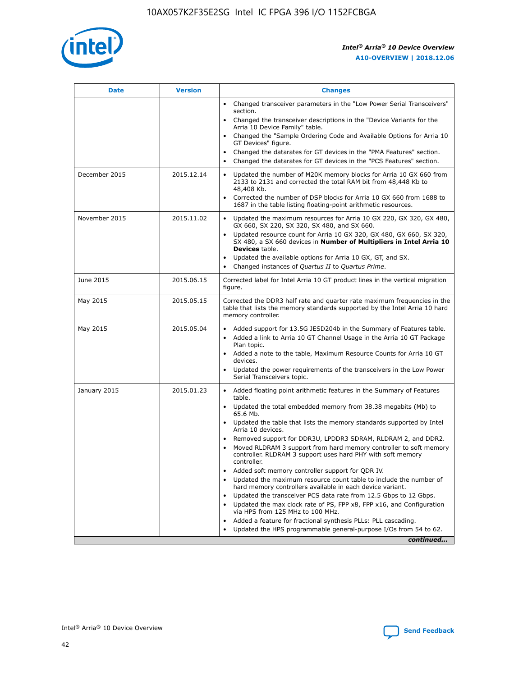

| <b>Date</b>   | <b>Version</b> | <b>Changes</b>                                                                                                                                                                   |
|---------------|----------------|----------------------------------------------------------------------------------------------------------------------------------------------------------------------------------|
|               |                | • Changed transceiver parameters in the "Low Power Serial Transceivers"<br>section.                                                                                              |
|               |                | • Changed the transceiver descriptions in the "Device Variants for the<br>Arria 10 Device Family" table.                                                                         |
|               |                | Changed the "Sample Ordering Code and Available Options for Arria 10<br>GT Devices" figure.                                                                                      |
|               |                | Changed the datarates for GT devices in the "PMA Features" section.                                                                                                              |
|               |                | Changed the datarates for GT devices in the "PCS Features" section.<br>$\bullet$                                                                                                 |
| December 2015 | 2015.12.14     | Updated the number of M20K memory blocks for Arria 10 GX 660 from<br>$\bullet$<br>2133 to 2131 and corrected the total RAM bit from 48,448 Kb to<br>48,408 Kb.                   |
|               |                | Corrected the number of DSP blocks for Arria 10 GX 660 from 1688 to<br>$\bullet$<br>1687 in the table listing floating-point arithmetic resources.                               |
| November 2015 | 2015.11.02     | Updated the maximum resources for Arria 10 GX 220, GX 320, GX 480,<br>$\bullet$<br>GX 660, SX 220, SX 320, SX 480, and SX 660.                                                   |
|               |                | Updated resource count for Arria 10 GX 320, GX 480, GX 660, SX 320,<br>$\bullet$<br>SX 480, a SX 660 devices in Number of Multipliers in Intel Arria 10<br><b>Devices</b> table. |
|               |                | Updated the available options for Arria 10 GX, GT, and SX.<br>$\bullet$                                                                                                          |
|               |                | Changed instances of Quartus II to Quartus Prime.<br>$\bullet$                                                                                                                   |
| June 2015     | 2015.06.15     | Corrected label for Intel Arria 10 GT product lines in the vertical migration<br>figure.                                                                                         |
| May 2015      | 2015.05.15     | Corrected the DDR3 half rate and quarter rate maximum frequencies in the<br>table that lists the memory standards supported by the Intel Arria 10 hard<br>memory controller.     |
| May 2015      | 2015.05.04     | • Added support for 13.5G JESD204b in the Summary of Features table.<br>• Added a link to Arria 10 GT Channel Usage in the Arria 10 GT Package<br>Plan topic.                    |
|               |                | • Added a note to the table, Maximum Resource Counts for Arria 10 GT<br>devices.                                                                                                 |
|               |                | Updated the power requirements of the transceivers in the Low Power<br>Serial Transceivers topic.                                                                                |
| January 2015  | 2015.01.23     | • Added floating point arithmetic features in the Summary of Features<br>table.                                                                                                  |
|               |                | • Updated the total embedded memory from 38.38 megabits (Mb) to<br>65.6 Mb.                                                                                                      |
|               |                | • Updated the table that lists the memory standards supported by Intel<br>Arria 10 devices.                                                                                      |
|               |                | Removed support for DDR3U, LPDDR3 SDRAM, RLDRAM 2, and DDR2.<br>Moved RLDRAM 3 support from hard memory controller to soft memory                                                |
|               |                | controller. RLDRAM 3 support uses hard PHY with soft memory<br>controller.                                                                                                       |
|               |                | Added soft memory controller support for QDR IV.                                                                                                                                 |
|               |                | Updated the maximum resource count table to include the number of<br>hard memory controllers available in each device variant.                                                   |
|               |                | Updated the transceiver PCS data rate from 12.5 Gbps to 12 Gbps.<br>$\bullet$                                                                                                    |
|               |                | Updated the max clock rate of PS, FPP x8, FPP x16, and Configuration<br>via HPS from 125 MHz to 100 MHz.                                                                         |
|               |                | Added a feature for fractional synthesis PLLs: PLL cascading.                                                                                                                    |
|               |                | Updated the HPS programmable general-purpose I/Os from 54 to 62.<br>$\bullet$                                                                                                    |
|               |                | continued                                                                                                                                                                        |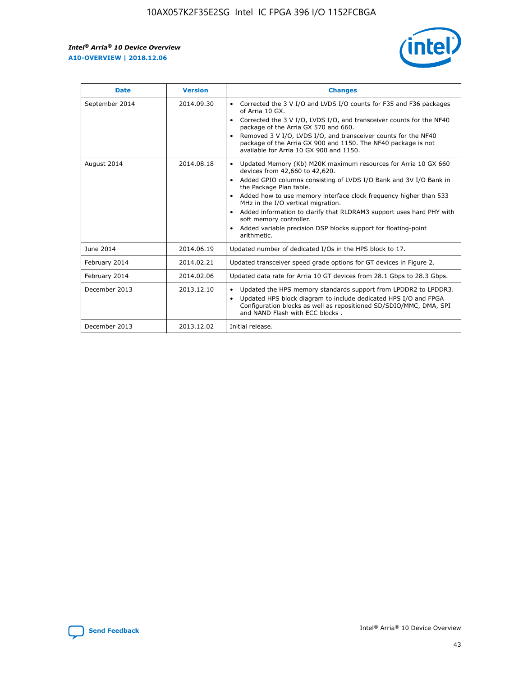

| <b>Date</b>    | <b>Version</b> | <b>Changes</b>                                                                                                                                                                                                                                                                                                                                                                                                                                                                                                                                                   |
|----------------|----------------|------------------------------------------------------------------------------------------------------------------------------------------------------------------------------------------------------------------------------------------------------------------------------------------------------------------------------------------------------------------------------------------------------------------------------------------------------------------------------------------------------------------------------------------------------------------|
| September 2014 | 2014.09.30     | Corrected the 3 V I/O and LVDS I/O counts for F35 and F36 packages<br>$\bullet$<br>of Arria 10 GX.<br>Corrected the 3 V I/O, LVDS I/O, and transceiver counts for the NF40<br>$\bullet$<br>package of the Arria GX 570 and 660.<br>Removed 3 V I/O, LVDS I/O, and transceiver counts for the NF40<br>$\bullet$<br>package of the Arria GX 900 and 1150. The NF40 package is not<br>available for Arria 10 GX 900 and 1150.                                                                                                                                       |
| August 2014    | 2014.08.18     | Updated Memory (Kb) M20K maximum resources for Arria 10 GX 660<br>$\bullet$<br>devices from 42,660 to 42,620.<br>Added GPIO columns consisting of LVDS I/O Bank and 3V I/O Bank in<br>$\bullet$<br>the Package Plan table.<br>Added how to use memory interface clock frequency higher than 533<br>$\bullet$<br>MHz in the I/O vertical migration.<br>Added information to clarify that RLDRAM3 support uses hard PHY with<br>$\bullet$<br>soft memory controller.<br>Added variable precision DSP blocks support for floating-point<br>$\bullet$<br>arithmetic. |
| June 2014      | 2014.06.19     | Updated number of dedicated I/Os in the HPS block to 17.                                                                                                                                                                                                                                                                                                                                                                                                                                                                                                         |
| February 2014  | 2014.02.21     | Updated transceiver speed grade options for GT devices in Figure 2.                                                                                                                                                                                                                                                                                                                                                                                                                                                                                              |
| February 2014  | 2014.02.06     | Updated data rate for Arria 10 GT devices from 28.1 Gbps to 28.3 Gbps.                                                                                                                                                                                                                                                                                                                                                                                                                                                                                           |
| December 2013  | 2013.12.10     | Updated the HPS memory standards support from LPDDR2 to LPDDR3.<br>$\bullet$<br>Updated HPS block diagram to include dedicated HPS I/O and FPGA<br>$\bullet$<br>Configuration blocks as well as repositioned SD/SDIO/MMC, DMA, SPI<br>and NAND Flash with ECC blocks.                                                                                                                                                                                                                                                                                            |
| December 2013  | 2013.12.02     | Initial release.                                                                                                                                                                                                                                                                                                                                                                                                                                                                                                                                                 |